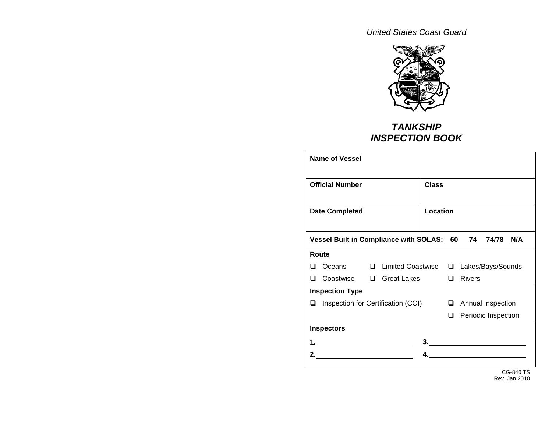*United States Coast Guard* 



## *TANKSHIP INSPECTION BOOK*

|                        | Name of Vessel                                         |              |                                                |  |        |               |                                            |  |
|------------------------|--------------------------------------------------------|--------------|------------------------------------------------|--|--------|---------------|--------------------------------------------|--|
| <b>Official Number</b> |                                                        | <b>Class</b> |                                                |  |        |               |                                            |  |
| <b>Date Completed</b>  |                                                        | Location     |                                                |  |        |               |                                            |  |
|                        | Vessel Built in Compliance with SOLAS: 60 74 74/78 N/A |              |                                                |  |        |               |                                            |  |
|                        | Route                                                  |              |                                                |  |        |               |                                            |  |
| - 1                    |                                                        |              | Oceans □ Limited Coastwise □ Lakes/Bays/Sounds |  |        |               |                                            |  |
| n                      | Coastwise □ Great Lakes                                |              |                                                |  | $\Box$ | <b>Rivers</b> |                                            |  |
|                        | <b>Inspection Type</b>                                 |              |                                                |  |        |               |                                            |  |
| ப                      |                                                        |              | Inspection for Certification (COI)             |  |        |               | Annual Inspection                          |  |
|                        |                                                        |              |                                                |  | □      |               | Periodic Inspection                        |  |
|                        | <b>Inspectors</b>                                      |              |                                                |  |        |               |                                            |  |
|                        |                                                        |              |                                                |  |        |               | $\frac{3}{2}$                              |  |
|                        |                                                        |              |                                                |  |        |               | <u> 1989 - Johann Barn, mars ann an t-</u> |  |
|                        |                                                        |              |                                                |  |        |               |                                            |  |

CG-840 TS Rev. Jan 2010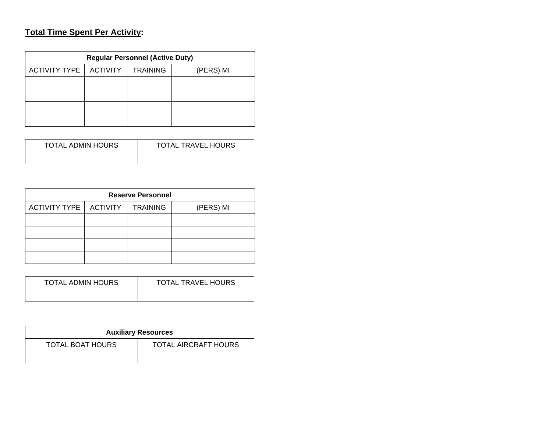## **Total Time Spent Per Activity:**

| <b>Regular Personnel (Active Duty)</b>                                  |  |  |  |  |  |  |  |
|-------------------------------------------------------------------------|--|--|--|--|--|--|--|
| <b>ACTIVITY</b><br><b>ACTIVITY TYPE</b><br><b>TRAINING</b><br>(PERS) MI |  |  |  |  |  |  |  |
|                                                                         |  |  |  |  |  |  |  |
|                                                                         |  |  |  |  |  |  |  |
|                                                                         |  |  |  |  |  |  |  |
|                                                                         |  |  |  |  |  |  |  |

| TOTAL ADMIN HOURS | <b>TOTAL TRAVEL HOURS</b> |
|-------------------|---------------------------|
|                   |                           |

| <b>Reserve Personnel</b> |  |                 |           |  |  |  |  |
|--------------------------|--|-----------------|-----------|--|--|--|--|
| ACTIVITY TYPE   ACTIVITY |  | <b>TRAINING</b> | (PERS) MI |  |  |  |  |
|                          |  |                 |           |  |  |  |  |
|                          |  |                 |           |  |  |  |  |
|                          |  |                 |           |  |  |  |  |
|                          |  |                 |           |  |  |  |  |

| <b>TOTAL ADMIN HOURS</b> | <b>TOTAL TRAVEL HOURS</b> |
|--------------------------|---------------------------|
|--------------------------|---------------------------|

| <b>Auxiliary Resources</b> |                      |  |  |  |  |
|----------------------------|----------------------|--|--|--|--|
| TOTAL BOAT HOURS           | TOTAL AIRCRAFT HOURS |  |  |  |  |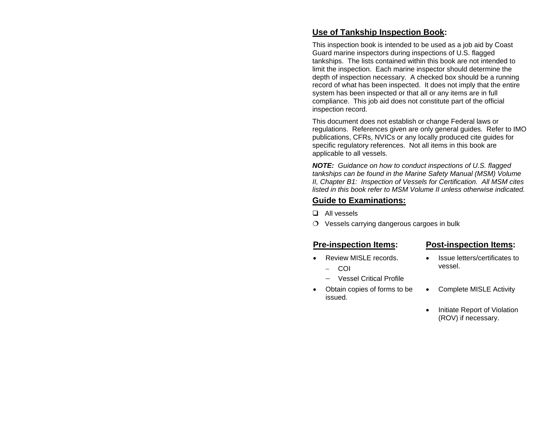#### **Use of Tankship Inspection Book:**

This inspection book is intended to be used as a job aid by Coast Guard marine inspectors during inspections of U.S. flagged tankships. The lists contained within this book are not intended to limit the inspection. Each marine inspector should determine the depth of inspection necessary. A checked box should be a running record of what has been inspected. It does not imply that the entire system has been inspected or that all or any items are in full compliance. This job aid does not constitute part of the official inspection record.

This document does not establish or change Federal laws or regulations. References given are only general guides. Refer to IMO publications, CFRs, NVICs or any locally produced cite guides for specific regulatory references. Not all items in this book are applicable to all vessels.

*NOTE: Guidance on how to conduct inspections of U.S. flagged tankships can be found in the Marine Safety Manual (MSM) Volume II, Chapter B1: Inspection of Vessels for Certification. All MSM cites listed in this book refer to MSM Volume II unless otherwise indicated.* 

#### **Guide to Examinations:**

- **Q** All vessels
- $\overline{O}$  Vessels carrying dangerous cargoes in bulk

#### **Pre-inspection Items: Post-inspection Items:**

- Review MISLE records.
	- − COI
	- − Vessel Critical Profile
- Obtain copies of forms to be issued.

- Issue letters/certificates to vessel.
- Complete MISLE Activity
- Initiate Report of Violation (ROV) if necessary.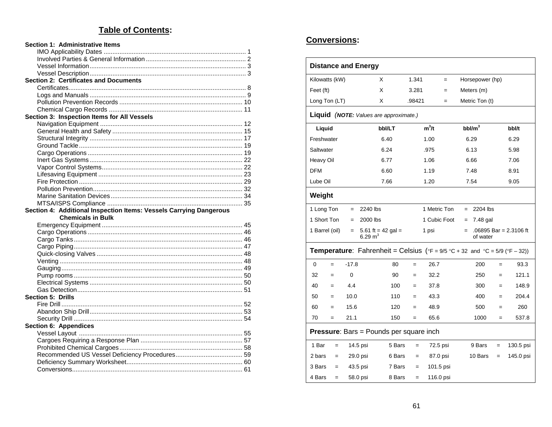#### **Table of Contents:**

| Section 1: Administrative Items                                    |  |
|--------------------------------------------------------------------|--|
|                                                                    |  |
|                                                                    |  |
|                                                                    |  |
|                                                                    |  |
| <b>Section 2: Certificates and Documents</b>                       |  |
|                                                                    |  |
|                                                                    |  |
|                                                                    |  |
|                                                                    |  |
| Section 3: Inspection Items for All Vessels                        |  |
|                                                                    |  |
|                                                                    |  |
|                                                                    |  |
|                                                                    |  |
|                                                                    |  |
|                                                                    |  |
|                                                                    |  |
|                                                                    |  |
|                                                                    |  |
|                                                                    |  |
|                                                                    |  |
|                                                                    |  |
|                                                                    |  |
| Section 4: Additional Inspection Items: Vessels Carrying Dangerous |  |
| <b>Chemicals in Bulk</b>                                           |  |
|                                                                    |  |
|                                                                    |  |
|                                                                    |  |
|                                                                    |  |
|                                                                    |  |
|                                                                    |  |
|                                                                    |  |
|                                                                    |  |
|                                                                    |  |
|                                                                    |  |
| <b>Section 5: Drills</b>                                           |  |
|                                                                    |  |
|                                                                    |  |
|                                                                    |  |
| Section 6: Appendices                                              |  |
|                                                                    |  |
|                                                                    |  |
|                                                                    |  |
|                                                                    |  |
|                                                                    |  |

#### **Conversions:**

| <b>Distance and Energy</b> |                                                 |        |        |              |                                                                                                                                      |     |                          |  |
|----------------------------|-------------------------------------------------|--------|--------|--------------|--------------------------------------------------------------------------------------------------------------------------------------|-----|--------------------------|--|
| Kilowatts (kW)             | X                                               |        | 1.341  | $=$          | Horsepower (hp)                                                                                                                      |     |                          |  |
| Feet (ft)                  | X                                               |        | 3.281  | $=$          | Meters (m)                                                                                                                           |     |                          |  |
| Long Ton (LT)              | X                                               |        | .98421 | $=$          | Metric Ton (t)                                                                                                                       |     |                          |  |
|                            | <b>Liquid</b> (NOTE: Values are approximate.)   |        |        |              |                                                                                                                                      |     |                          |  |
| Liquid                     |                                                 | bbl/LT |        | $m^3/t$      | $bbl/m^3$                                                                                                                            |     | bbl/t                    |  |
| Freshwater                 |                                                 | 6.40   |        | 1.00         | 6.29                                                                                                                                 |     | 6.29                     |  |
| Saltwater                  |                                                 | 6.24   |        | .975         | 6.13                                                                                                                                 |     | 5.98                     |  |
| Heavy Oil                  |                                                 | 6.77   |        | 1.06         | 6.66                                                                                                                                 |     | 7.06                     |  |
| <b>DFM</b>                 |                                                 | 6.60   |        | 1.19         | 7.48                                                                                                                                 |     | 8.91                     |  |
| Lube Oil                   |                                                 | 7.66   |        | 1.20         | 7.54                                                                                                                                 |     | 9.05                     |  |
| Weight                     |                                                 |        |        |              |                                                                                                                                      |     |                          |  |
| 1 Long Ton                 | 2240 lbs<br>$=$                                 |        |        | 1 Metric Ton | 2204 lbs<br>$=$                                                                                                                      |     |                          |  |
| 1 Short Ton                | 2000 lbs<br>$=$                                 |        |        | 1 Cubic Foot | 7.48 gal<br>$=$                                                                                                                      |     |                          |  |
| 1 Barrel (oil)             | 5.61 ft = 42 gal =<br>$=$<br>$6.29 \text{ m}^3$ |        |        | 1 psi        | $=$<br>of water                                                                                                                      |     | $.06895$ Bar = 2.3106 ft |  |
|                            |                                                 |        |        |              | <b>Temperature:</b> Fahrenheit = Celsius ( ${}^{\circ}$ F = 9/5 ${}^{\circ}$ C + 32 and ${}^{\circ}$ C = 5/9 ( ${}^{\circ}$ F – 32)) |     |                          |  |
| 0<br>$=$                   | $-17.8$                                         | 80     | $=$    | 26.7         | 200                                                                                                                                  | $=$ | 93.3                     |  |
| 32<br>$=$                  | $\Omega$                                        | 90     | $=$    | 32.2         | 250                                                                                                                                  | $=$ | 121.1                    |  |
| 40<br>$=$                  | 4.4                                             | 100    | $=$    | 37.8         | 300                                                                                                                                  | $=$ | 148.9                    |  |
| 50<br>$=$                  | 10.0                                            | 110    | $=$    | 43.3         | 400                                                                                                                                  | $=$ | 204.4                    |  |
| 60<br>$=$                  | 15.6                                            | 120    | $=$    | 48.9         | 500                                                                                                                                  | $=$ | 260                      |  |
| 70<br>$=$                  | 21.1                                            | 150    | $=$    | 65.6         | 1000                                                                                                                                 | $=$ | 537.8                    |  |
|                            | <b>Pressure:</b> Bars = Pounds per square inch  |        |        |              |                                                                                                                                      |     |                          |  |
| 1 Bar<br>$=$               | 14.5 psi                                        | 5 Bars | $=$    | 72.5 psi     | 9 Bars                                                                                                                               | $=$ | 130.5 psi                |  |
| 2 bars<br>$=$              | 29.0 psi                                        | 6 Bars | $=$    | 87.0 psi     | 10 Bars                                                                                                                              | $=$ | 145.0 psi                |  |
| 3 Bars<br>$=$              | 43.5 psi                                        | 7 Bars | $=$    | 101.5 psi    |                                                                                                                                      |     |                          |  |
| 4 Bars<br>$=$              | 58.0 psi                                        | 8 Bars | $=$    | 116.0 psi    |                                                                                                                                      |     |                          |  |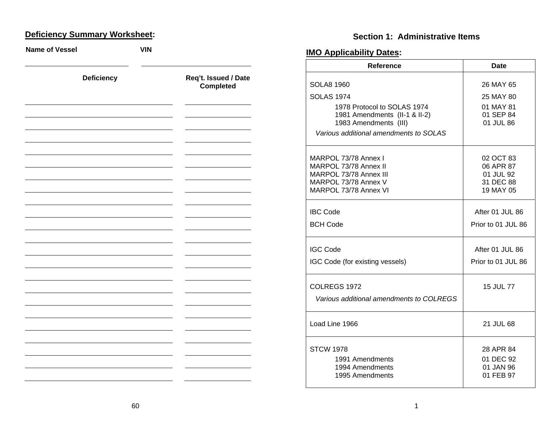#### **D eficiency Summary Worksheet:**

**Name of Vessel VIN Deficiency Req't. Issued / Date Completed**   $\sim$  10  $\pm$ 

## **Section 1: Administrative Items**

## **IMO Applicability Dates:**

| Reference                                     | Date                   |
|-----------------------------------------------|------------------------|
| SOLA8 1960                                    | 26 MAY 65              |
| <b>SOLAS 1974</b>                             | 25 MAY 80              |
| 1978 Protocol to SOLAS 1974                   | 01 MAY 81              |
| 1981 Amendments (II-1 & II-2)                 | 01 SEP 84              |
| 1983 Amendments (III)                         | 01 JUL 86              |
| Various additional amendments to SOLAS        |                        |
| MARPOL 73/78 Annex I                          | 02 OCT 83              |
| MARPOL 73/78 Annex II                         | 06 APR 87              |
| MARPOL 73/78 Annex III                        | 01 JUL 92              |
| MARPOL 73/78 Annex V<br>MARPOL 73/78 Annex VI | 31 DEC 88<br>19 MAY 05 |
|                                               |                        |
| <b>IBC Code</b>                               | After 01 JUL 86        |
| <b>BCH Code</b>                               | Prior to 01 JUL 86     |
|                                               |                        |
| <b>IGC Code</b>                               | After 01 JUL 86        |
| IGC Code (for existing vessels)               | Prior to 01 JUL 86     |
|                                               |                        |
| COLREGS 1972                                  | 15 JUL 77              |
| Various additional amendments to COLREGS      |                        |
|                                               |                        |
| Load Line 1966                                | 21 JUL 68              |
|                                               |                        |
| <b>STCW 1978</b>                              | 28 APR 84              |
| 1991 Amendments                               | 01 DEC 92              |
| 1994 Amendments                               | 01 JAN 96              |
| 1995 Amendments                               | 01 FEB 97              |
|                                               |                        |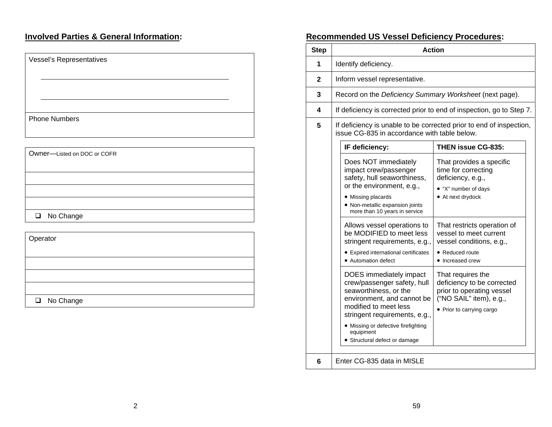## **Involved Parties & General Information:**

| Vessel's Representatives    |
|-----------------------------|
|                             |
|                             |
| <b>Phone Numbers</b>        |
|                             |
| Owner-Listed on DOC or COFR |
|                             |
|                             |
| □ No Change                 |
| Operator                    |
|                             |
|                             |
| □ No Change                 |

## **Recommended US Vessel Deficiency Procedures:**

| <b>Step</b> | <b>Action</b>                                                                                                                                                                                                               |                                                                                                                                      |  |  |  |  |
|-------------|-----------------------------------------------------------------------------------------------------------------------------------------------------------------------------------------------------------------------------|--------------------------------------------------------------------------------------------------------------------------------------|--|--|--|--|
| 1           | Identify deficiency.                                                                                                                                                                                                        |                                                                                                                                      |  |  |  |  |
| 2           | Inform vessel representative.                                                                                                                                                                                               |                                                                                                                                      |  |  |  |  |
| 3           | Record on the Deficiency Summary Worksheet (next page).                                                                                                                                                                     |                                                                                                                                      |  |  |  |  |
| 4           | If deficiency is corrected prior to end of inspection, go to Step 7.                                                                                                                                                        |                                                                                                                                      |  |  |  |  |
| 5           | If deficiency is unable to be corrected prior to end of inspection,<br>issue CG-835 in accordance with table below.                                                                                                         |                                                                                                                                      |  |  |  |  |
|             | IF deficiency:                                                                                                                                                                                                              | <b>THEN issue CG-835:</b>                                                                                                            |  |  |  |  |
|             | Does NOT immediately<br>impact crew/passenger<br>safety, hull seaworthiness,<br>or the environment, e.g.,<br>• Missing placards<br>• Non-metallic expansion joints<br>more than 10 years in service                         | That provides a specific<br>time for correcting<br>deficiency, e.g.,<br>• "X" number of days<br>• At next drydock                    |  |  |  |  |
|             | Allows vessel operations to<br>be MODIFIED to meet less<br>stringent requirements, e.g.,<br>• Expired international certificates<br>• Automation defect                                                                     | That restricts operation of<br>vessel to meet current<br>vessel conditions, e.g.,<br>• Reduced route<br>• Increased crew             |  |  |  |  |
|             | DOES immediately impact<br>crew/passenger safety, hull<br>seaworthiness, or the<br>environment, and cannot be<br>modified to meet less<br>stringent requirements, e.g.,<br>• Missing or defective firefighting<br>equipment | That requires the<br>deficiency to be corrected<br>prior to operating vessel<br>("NO SAIL" item), e.g.,<br>• Prior to carrying cargo |  |  |  |  |
|             | • Structural defect or damage                                                                                                                                                                                               |                                                                                                                                      |  |  |  |  |
| 6           | Enter CG-835 data in MISLE                                                                                                                                                                                                  |                                                                                                                                      |  |  |  |  |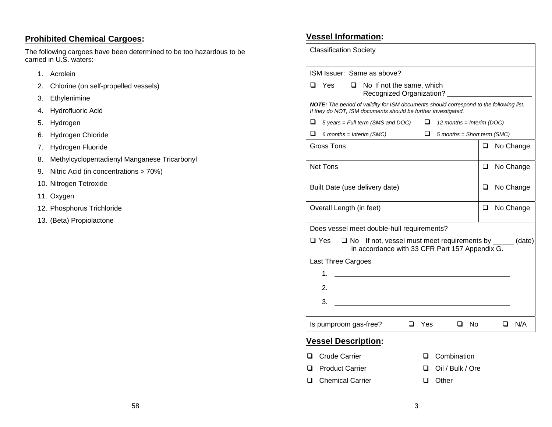#### **P rohibited Chemical Cargoes:**

The following cargoes have been determined to be too hazardous to be carried in U.S. waters:

- 1. Acrolein
- 2. Chlorine (on self-propelled vessels)
- 3. Ethylenimine
- 4. Hydrofluoric Acid
- 5. Hydrogen
- 6. Hydrogen Chloride
- 7. Hydrogen Fluoride
- 8. Methylcyclopentadienyl Manganese Tricarbonyl
- 9. Nitric Acid (in concentrations > 70%)
- 10. Nitrogen Tetroxide
- 11. Oxygen
- 12. Phosphorus Trichloride
- 13. (Beta) Propiolactone

## **Vessel Information:**

| <b>Classification Society</b>                                                                                                                            |   |  |           |  |  |
|----------------------------------------------------------------------------------------------------------------------------------------------------------|---|--|-----------|--|--|
| ISM Issuer: Same as above?                                                                                                                               |   |  |           |  |  |
| Yes<br>No If not the same, which<br>$\Box$<br>ப<br>Recognized Organization?                                                                              |   |  |           |  |  |
| NOTE: The period of validity for ISM documents should correspond to the following list.<br>If they do NOT, ISM documents should be further investigated. |   |  |           |  |  |
| ⊔<br>$\Box$<br>$5$ years = Full term (SMS and DOC)<br>12 months = Interim (DOC)                                                                          |   |  |           |  |  |
| ⊔<br>ப<br>$5$ months = Short term (SMC)<br>6 months = Interim $(SMC)$                                                                                    |   |  |           |  |  |
| <b>Gross Tons</b>                                                                                                                                        | ◻ |  | No Change |  |  |
| <b>Net Tons</b>                                                                                                                                          | ப |  | No Change |  |  |
| Built Date (use delivery date)                                                                                                                           | ❏ |  | No Change |  |  |
| Overall Length (in feet)                                                                                                                                 | □ |  | No Change |  |  |
| Does vessel meet double-hull requirements?                                                                                                               |   |  |           |  |  |
| $\Box$ Yes<br>If not, vessel must meet requirements by ______ (date)<br>$\square$ No<br>in accordance with 33 CFR Part 157 Appendix G.                   |   |  |           |  |  |
| <b>Last Three Cargoes</b>                                                                                                                                |   |  |           |  |  |
| 1.<br><u> 1989 - Johann Barn, mars ann an t-Amhain</u>                                                                                                   |   |  |           |  |  |
| 2.                                                                                                                                                       |   |  |           |  |  |
| 3.                                                                                                                                                       |   |  |           |  |  |
| Is pumproom gas-free?<br>Yes<br>Nο                                                                                                                       |   |  | N/A       |  |  |

#### **Vessel Description:**

- **Q** Crude Carrier **Carrier Combination** 
	-
- Product Carrier Oil / Bulk / Ore
- Chemical Carrier Other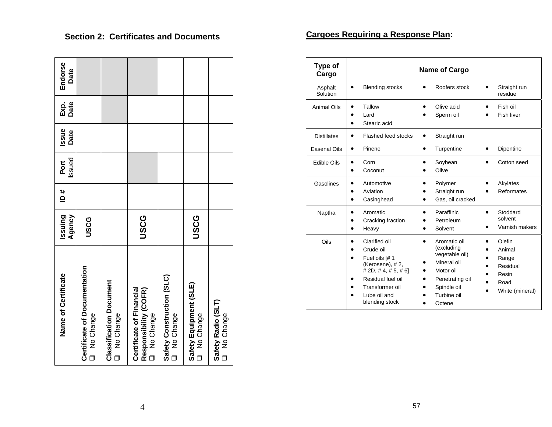| Name of Certificate                                            | Issuing<br>Agency | # Ql | Issued<br>Port | Issue<br>Date | Exp.<br>Date | Endorse<br>Date |
|----------------------------------------------------------------|-------------------|------|----------------|---------------|--------------|-----------------|
| Certificate of Documentation<br>O No Change                    | USCG              |      |                |               |              |                 |
| <b>Classification Document</b><br>O No Change                  |                   |      |                |               |              |                 |
| Responsibility (COFR)<br>Certificate of Financial<br>No Change | USCG              |      |                |               |              |                 |
| Safety Construction (SLC)<br>O No Change                       |                   |      |                |               |              |                 |
| Safety Equipment (SLE)<br>O No Change                          | <b>JSCG</b>       |      |                |               |              |                 |
| Safety Radio (SLT)<br>No Change                                |                   |      |                |               |              |                 |

## **Section 2: Certificates and Documents**

 $\sim$ 

 $\mathbf{r}$  and  $\mathbf{r}$  and  $\mathbf{r}$  and  $\mathbf{r}$ 

⊣

## **Cargoes Requiring a Response Plan:**

| Type of<br>Cargo    |                                                                                                                                                                               | <b>Name of Cargo</b>                                                                                                                |                                                                           |
|---------------------|-------------------------------------------------------------------------------------------------------------------------------------------------------------------------------|-------------------------------------------------------------------------------------------------------------------------------------|---------------------------------------------------------------------------|
| Asphalt<br>Solution | <b>Blending stocks</b><br>$\bullet$                                                                                                                                           | Roofers stock                                                                                                                       | Straight run<br>residue                                                   |
| <b>Animal Oils</b>  | Tallow<br>Lard<br>Stearic acid<br>٠                                                                                                                                           | Olive acid<br>Sperm oil                                                                                                             | Fish oil<br><b>Fish liver</b>                                             |
| <b>Distillates</b>  | Flashed feed stocks<br>$\bullet$                                                                                                                                              | Straight run<br>$\bullet$                                                                                                           |                                                                           |
| Easenal Oils        | Pinene                                                                                                                                                                        | Turpentine<br>$\bullet$                                                                                                             | Dipentine                                                                 |
| Edible Oils         | Corn<br>Coconut                                                                                                                                                               | Soybean<br>Olive                                                                                                                    | Cotton seed                                                               |
| Gasolines           | Automotive<br>Aviation<br>Casinghead                                                                                                                                          | Polymer<br>Straight run<br>Gas, oil cracked                                                                                         | Akylates<br><b>Reformates</b>                                             |
| Naptha              | Aromatic<br>Cracking fraction<br>Heavy                                                                                                                                        | Paraffinic<br>Petroleum<br>Solvent                                                                                                  | Stoddard<br>$\bullet$<br>solvent<br>Varnish makers<br>$\bullet$           |
| Oils                | Clarified oil<br>Crude oil<br>Fuel oils [# 1<br>(Kerosene), #2,<br>$\#$ 2D, $\#$ 4, $\#$ 5, $\#$ 6]<br>Residual fuel oil<br>Transformer oil<br>Lube oil and<br>blending stock | Aromatic oil<br>(excluding<br>vegetable oil)<br>Mineral oil<br>Motor oil<br>Penetrating oil<br>Spindle oil<br>Turbine oil<br>Octene | Olefin<br>Animal<br>Range<br>Residual<br>Resin<br>Road<br>White (mineral) |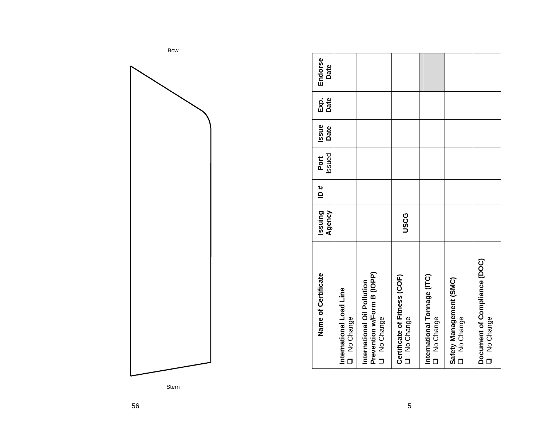| Name of Certificate                                                                               | Issuing<br>Agency | # ⊔ | Issued<br>Port | Issue<br>Date | Date<br>Exp. | Endorse<br>Date |  |
|---------------------------------------------------------------------------------------------------|-------------------|-----|----------------|---------------|--------------|-----------------|--|
| International Load Line<br>No Change<br>$\Box$                                                    |                   |     |                |               |              |                 |  |
| Prevention w/Form B (IOPP)<br>International Oil Pollution<br>No Change<br>$\overline{\mathsf{d}}$ |                   |     |                |               |              |                 |  |
| Certificate of Fitness (COF)<br>No Change                                                         | <b>USCG</b>       |     |                |               |              |                 |  |
| International Tonnage (ITC)<br>No Change<br>$\Box$                                                |                   |     |                |               |              |                 |  |
| Safety Management (SMC)<br>No Change                                                              |                   |     |                |               |              |                 |  |
| Document of Compliance (DOC)<br>No Change                                                         |                   |     |                |               |              |                 |  |

Bow





5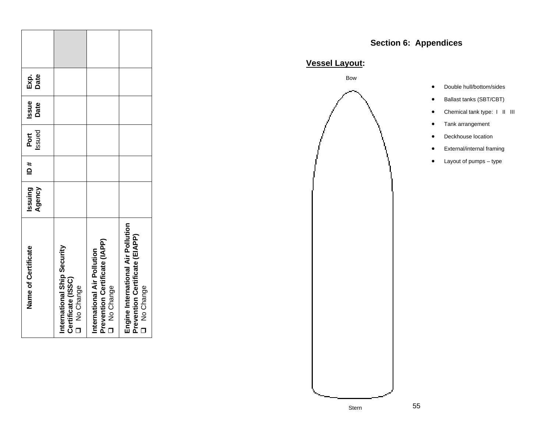| Name of Certificate                                                               | ssuing<br>Agency | ₿ | Issued<br>Port | Issue<br>Date | Exp.<br>Date |  |
|-----------------------------------------------------------------------------------|------------------|---|----------------|---------------|--------------|--|
| International Ship Security<br>Certificate (ISSC)<br>No Change                    |                  |   |                |               |              |  |
| Prevention Certificate (IAPP)<br>International Air Pollution<br>No Change         |                  |   |                |               |              |  |
| Engine International Air Pollution<br>Prevention Certificate (EIAPP)<br>No Change |                  |   |                |               |              |  |

# **Section 6: Appendices**

**Vessel Layout:** 

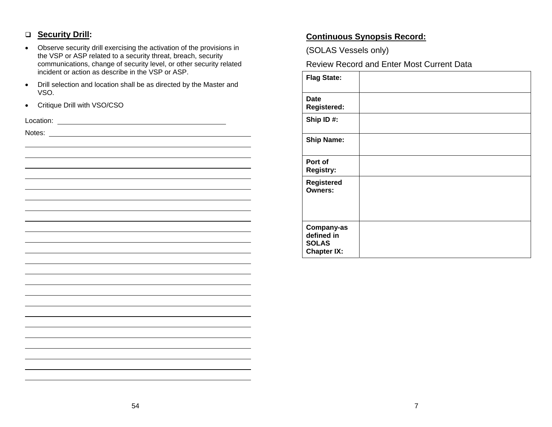#### **Security Drill:**

- Observe security drill exercising the activation of the provisions in the VSP or ASP related to a security threat, breach, security communications, change of security level, or other security related incident or action as describe in the VSP or ASP.
- Drill selection and location shall be as directed by the Master and VSO.
- Critique Drill with VSO/CSO

| Location: |  |
|-----------|--|
| Notes:    |  |
|           |  |
|           |  |
|           |  |
|           |  |
|           |  |
|           |  |
|           |  |
|           |  |
|           |  |
|           |  |
|           |  |
|           |  |
|           |  |
|           |  |
|           |  |
|           |  |
|           |  |
|           |  |
|           |  |
|           |  |
|           |  |
|           |  |
|           |  |

## **Continuous Synopsis Record:**

(SOLAS Vessels only)

Review Record and Enter Most Current Data

| <b>Flag State:</b>                                             |  |
|----------------------------------------------------------------|--|
| Date<br><b>Registered:</b>                                     |  |
| Ship ID#:                                                      |  |
| <b>Ship Name:</b>                                              |  |
| Port of<br><b>Registry:</b>                                    |  |
| <b>Registered</b><br><b>Owners:</b>                            |  |
| Company-as<br>defined in<br><b>SOLAS</b><br><b>Chapter IX:</b> |  |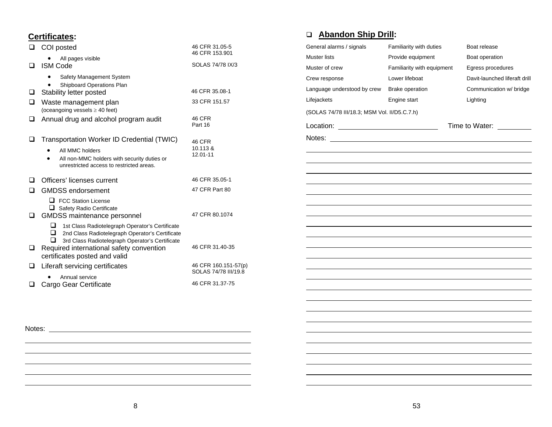#### **Certificates:**

| ❏ | COI posted                                                                                                                                                                                                                                        | 46 CFR 31.05-5<br>46 CFR 153.901      |
|---|---------------------------------------------------------------------------------------------------------------------------------------------------------------------------------------------------------------------------------------------------|---------------------------------------|
| ப | All pages visible<br><b>ISM Code</b>                                                                                                                                                                                                              | SOLAS 74/78 IX/3                      |
|   | Safety Management System                                                                                                                                                                                                                          |                                       |
| ⊔ | Shipboard Operations Plan<br>Stability letter posted                                                                                                                                                                                              | 46 CFR 35.08-1<br>33 CFR 151.57       |
| ❏ | Waste management plan<br>(oceangoing vessels $\geq$ 40 feet)                                                                                                                                                                                      |                                       |
| ❏ | Annual drug and alcohol program audit                                                                                                                                                                                                             | <b>46 CFR</b><br>Part 16              |
| ❏ | Transportation Worker ID Credential (TWIC)<br>All MMC holders<br>All non-MMC holders with security duties or<br>$\bullet$<br>unrestricted access to restricted areas.                                                                             | <b>46 CFR</b><br>10.113 &<br>12.01-11 |
| ப | Officers' licenses current                                                                                                                                                                                                                        | 46 CFR 35.05-1                        |
| ப | <b>GMDSS</b> endorsement                                                                                                                                                                                                                          | 47 CFR Part 80                        |
| ◻ | $\Box$ FCC Station License<br>Safety Radio Certificate<br><b>GMDSS</b> maintenance personnel                                                                                                                                                      | 47 CFR 80.1074                        |
| □ | ப<br>1st Class Radiotelegraph Operator's Certificate<br>□<br>2nd Class Radiotelegraph Operator's Certificate<br>3rd Class Radiotelegraph Operator's Certificate<br>ப<br>Required international safety convention<br>certificates posted and valid | 46 CFR 31.40-35                       |
| ⊔ | Liferaft servicing certificates                                                                                                                                                                                                                   | 46 CFR 160.151-57(p)                  |
|   | Annual service                                                                                                                                                                                                                                    | SOLAS 74/78 III/19.8                  |
| ◻ | Cargo Gear Certificate                                                                                                                                                                                                                            | 46 CFR 31.37-75                       |

# **Abandon Ship Drill:**

| General alarms / signals                     | Familiarity with duties    | Boat release                  |
|----------------------------------------------|----------------------------|-------------------------------|
| <b>Muster lists</b>                          | Provide equipment          | Boat operation                |
| Muster of crew                               | Familiarity with equipment | Egress procedures             |
| Crew response                                | Lower lifeboat             | Davit-launched liferaft drill |
| Language understood by crew                  | Brake operation            | Communication w/ bridge       |
| Lifejackets                                  | Engine start               | Lighting                      |
| (SOLAS 74/78 III/18.3; MSM Vol. II/D5.C.7.h) |                            |                               |
|                                              |                            | Time to Water: _________      |
|                                              |                            |                               |
|                                              |                            |                               |
|                                              |                            |                               |
|                                              |                            |                               |
|                                              |                            |                               |
|                                              |                            |                               |
|                                              |                            |                               |
|                                              |                            |                               |
|                                              |                            |                               |
|                                              |                            |                               |
|                                              |                            |                               |
|                                              |                            |                               |
|                                              |                            |                               |
|                                              |                            |                               |
|                                              |                            |                               |
|                                              |                            |                               |
|                                              |                            |                               |
|                                              |                            |                               |
|                                              |                            |                               |
|                                              |                            |                               |

Notes:

 $\mathcal{L}_{\mathcal{A}}$ 

ш,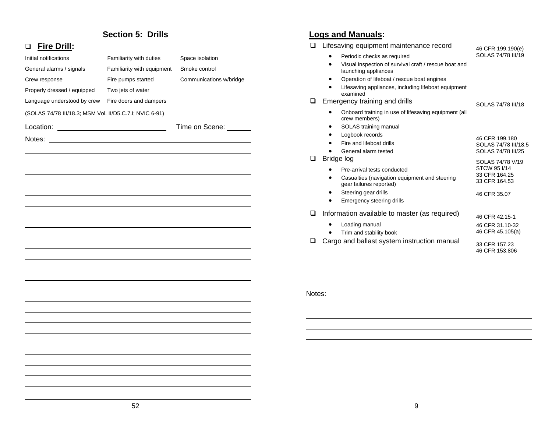#### **Section 5: Drills**

#### **Fire Drill:**

| Initial notifications                                   | Familiarity with duties    | Space isolation         |
|---------------------------------------------------------|----------------------------|-------------------------|
| General alarms / signals                                | Familiarity with equipment | Smoke control           |
| Crew response                                           | Fire pumps started         | Communications w/bridge |
| Properly dressed / equipped                             | Two jets of water          |                         |
| Language understood by crew                             | Fire doors and dampers     |                         |
| (SOLAS 74/78 III/18.3; MSM Vol. II/D5.C.7.i; NVIC 6-91) |                            |                         |
| Location:                                               |                            | Time on Scene:          |
| Notes:                                                  |                            |                         |
|                                                         |                            |                         |
|                                                         |                            |                         |
|                                                         |                            |                         |
|                                                         |                            |                         |
|                                                         |                            |                         |
|                                                         |                            |                         |
|                                                         |                            |                         |
|                                                         |                            |                         |
|                                                         |                            |                         |
|                                                         |                            |                         |
|                                                         |                            |                         |
|                                                         |                            |                         |
|                                                         |                            |                         |
|                                                         |                            |                         |
|                                                         |                            |                         |
|                                                         |                            |                         |
|                                                         |                            |                         |

### **Logs and Manuals:**

| ◻      | Lifesaving equipment maintenance record                                                                                                         | 46 CFR 199.190(e)                                                                        |
|--------|-------------------------------------------------------------------------------------------------------------------------------------------------|------------------------------------------------------------------------------------------|
|        | Periodic checks as required<br>Visual inspection of survival craft / rescue boat and<br>launching appliances                                    | SOLAS 74/78 III/19                                                                       |
| ப      | Operation of lifeboat / rescue boat engines<br>Lifesaving appliances, including lifeboat equipment<br>examined<br>Emergency training and drills | SOLAS 74/78 III/18                                                                       |
|        | Onboard training in use of lifesaving equipment (all<br>crew members)<br>SOLAS training manual<br>٠                                             |                                                                                          |
|        | Logbook records<br>Fire and lifeboat drills<br>٠<br>General alarm tested                                                                        | 46 CFR 199.180<br>SOLAS 74/78 III/18.5<br>SOLAS 74/78 III/25                             |
| ப      | Bridge log<br>Pre-arrival tests conducted<br>Casualties (navigation equipment and steering<br>gear failures reported)                           | SOLAS 74/78 V/19<br>STCW 95 I/14<br>33 CFR 164.25<br>33 CFR 164.53                       |
|        | Steering gear drills<br>٠<br>Emergency steering drills<br>٠                                                                                     | 46 CFR 35.07                                                                             |
| $\Box$ | Information available to master (as required)<br>Loading manual<br>Trim and stability book<br>Cargo and ballast system instruction manual       | 46 CFR 42.15-1<br>46 CFR 31.10-32<br>46 CFR 45.105(a)<br>33 CFR 157.23<br>46 CFR 153,806 |
|        |                                                                                                                                                 |                                                                                          |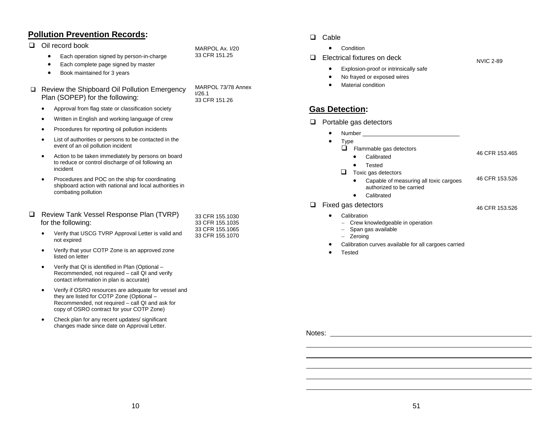#### **Pollution Prevention Records:**

□ Oil record book

- $\bullet$ Each operation signed by person-in-charge
- •Each complete page signed by master
- •Book maintained for 3 years

#### □ Review the Shipboard Oil Pollution Emergency Plan (SOPEP) for the following:

- •Approval from flag state or classification society
- •Written in English and working language of crew
- •Procedures for reporting oil pollution incidents
- • List of authorities or persons to be contacted in the event of an oil pollution incident
- • Action to be taken immediately by persons on board to reduce or control discharge of oil following an incident
- • Procedures and POC on the ship for coordinating shipboard action with national and local authorities in combating pollution

#### □ Review Tank Vessel Response Plan (TVRP) for the following:

| Verify that USCG TVRP Approval Letter is valid and |
|----------------------------------------------------|
| not expired                                        |

- • Verify that your COTP Zone is an approved zone listed on letter
- • Verify that QI is identified in Plan (Optional – Recommended, not required – call QI and verify contact information in plan is accurate)
- • Verify if OSRO resources are adequate for vessel and they are listed for COTP Zone (Optional – Recommended, not required – call QI and ask for copy of OSRO contract for your COTP Zone)
- • Check plan for any recent updates/ significant changes made since date on Approval Letter.

MARPOL Ax. I/20 33 CFR 151.25

MARPOL 73/78 Annex I/26.1 33 CFR 151.26

33 CFR 155.1030 33 CFR 155.1035 33 CFR 155.1065 33 CFR 155.1070

#### $\Box$  Cable

- •Condition
- $\Box$  Electrical fixtures on deck
- NVIC 2-89

46 CFR 153.465

46 CFR 153.526

- • Explosion-proof or intrinsically safe •No frayed or exposed wires
- 
- •Material condition

## **Gas Detection:**

- $\Box$  Portable gas detectors
	- •Number

•

- • Type
	- $\Box$  Flammable gas detectors
		- Calibrated
		- •Tested
	- $\Box$  Toxic gas detectors
		- • Capable of measuring all toxic cargoes authorized to be carried 46 CFR 153.526
		- Calibrated
- $\Box$  Fixed gas detectors
	- • Calibration
		- <sup>−</sup> Crew knowledgeable in operation
		- <sup>−</sup> Span gas available
		- <sup>−</sup> Zeroing
	- •Calibration curves available for all cargoes carried
	- •Tested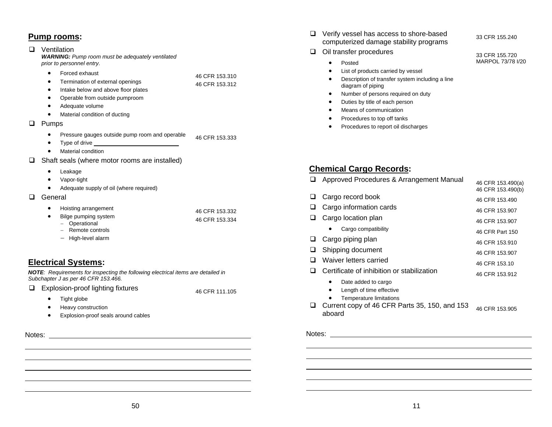## **Pump rooms:**

#### **D** Ventilation

*WARNING: Pump room must be adequately ventilated prior to personnel entry.*

- •Forced exhaust
- • Termination of external openings 46 CFR 153.310 46 CFR 153.312
- •Intake below and above floor plates
- •Operable from outside pumproom
- •Adequate volume
- •Material condition of ducting

#### **Q** Pumps

- $\bullet$  Pressure gauges outside pump room and operable 46 CFR 153.333
- •Type of drive
- •Material condition
- $\Box$  Shaft seals (where motor rooms are installed)
	- •Leakage
	- •Vapor-tight
	- •Adequate supply of oil (where required)
- **Q** General
	- • Hoisting arrangement • Bilge pumping system <sup>−</sup> Operational 46 CFR 153.332 46 CFR 153.334

46 CFR 111.105

- − Remote controls
- − High-level alarm

## **Electrical Systems:**

*NOTE: Requirements for inspecting the following electrical items are detailed in Subchapter J as per 46 CFR 153.466.*

- Explosion-proof lighting fixtures
	- •Tight globe
	- •Heavy construction
	- •Explosion-proof seals around cables
- Notes:

 Verify vessel has access to shore-based computerized damage stability programs

33 CFR 155.240

33 CFR 155.720 MARPOL 73/78 I/20

#### $\Box$  Oil transfer procedures

- •Posted
- •List of products carried by vessel
- • Description of transfer system including a line diagram of piping
- •Number of persons required on duty
- •Duties by title of each person
- •Means of communication
- •Procedures to top off tanks
- •Procedures to report oil discharges

## **Chemical Cargo Records:**

|   | Approved Procedures & Arrangement Manual   | 46 CFR 153.490(a)<br>46 CFR 153.490(b) |
|---|--------------------------------------------|----------------------------------------|
| ⊔ | Cargo record book                          | 46 CFR 153.490                         |
|   | Cargo information cards                    | 46 CFR 153.907                         |
|   | Cargo location plan                        | 46 CFR 153.907                         |
|   | Cargo compatibility                        | 46 CFR Part 150                        |
|   | Cargo piping plan                          | 46 CFR 153.910                         |
| ⊔ | Shipping document                          | 46 CFR 153.907                         |
|   | Waiver letters carried                     | 46 CFR 153.10                          |
|   |                                            |                                        |
|   | Certificate of inhibition or stabilization | 46 CFR 153.912                         |
|   | Date added to cargo                        |                                        |
|   | Length of time effective<br>٠              |                                        |
|   | <b>Temperature limitations</b>             |                                        |

Current copy of 46 CFR Parts 35, 150, and 153 aboard 46 CFR 153.905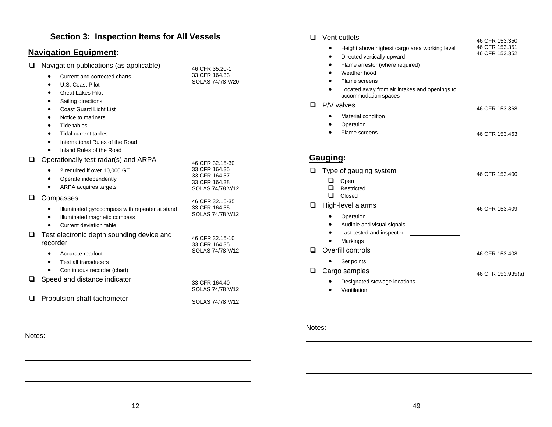## **Section 3: Inspection Items for All Vessels**

#### **Navigation Equipment:**

- □ Navigation publications (as applicable)
	- $\bullet$ Current and corrected charts

| 46 CFR 35.20-1   |
|------------------|
| 33 CFR 164.33    |
| SOLAS 74/78 V/20 |

46 CFR 32.15-30

- • U.S. Coast Pilot •Great Lakes Pilot
- •Sailing directions
- •Coast Guard Light List
- •Notice to mariners
- •Tide tables
- •Tidal current tables
- •International Rules of the Road
- $\bullet$ Inland Rules of the Road

#### $\Box$  Operationally test radar(s) and ARPA

| 2 required if over 10,000 GT<br>Operate independently<br>ARPA acquires targets                                               | 33 CFR 164.35<br>33 CFR 164.37<br>33 CFR 164.38<br>SOLAS 74/78 V/12 |
|------------------------------------------------------------------------------------------------------------------------------|---------------------------------------------------------------------|
| Compasses<br>Illuminated gyrocompass with repeater at stand<br>Illuminated magnetic compass                                  | 46 CFR 32.15-35<br>33 CFR 164.35<br>SOLAS 74/78 V/12                |
| Current deviation table<br>Test electronic depth sounding device and<br>recorder<br>Accurate readout<br>Test all transducers | 46 CFR 32.15-10<br>33 CFR 164.35<br>SOLAS 74/78 V/12                |
| Continuous recorder (chart)<br>Speed and distance indicator                                                                  | 33 CFR 164.40<br>SOLAS 74/78 V/12                                   |

## $\Box$  Propulsion shaft tachometer SOLAS 74/78 V/12

| vent outlets                                                               | 46 CFR 153.350 |
|----------------------------------------------------------------------------|----------------|
| Height above highest cargo area working level<br>$\bullet$                 | 46 CFR 153.351 |
| Directed vertically upward<br>٠                                            | 46 CFR 153.352 |
| Flame arrestor (where required)<br>٠                                       |                |
| Weather hood<br>٠                                                          |                |
| Flame screens<br>٠                                                         |                |
| Located away from air intakes and openings to<br>٠<br>accommodation spaces |                |
| $\Box$ P/V valves                                                          | 46 CFR 153.368 |
| Material condition<br>٠                                                    |                |
| Operation                                                                  |                |

 Flame screens46 CFR 153.463

#### **Gauging:**

•

**D** Vent outlets

| ◻ | Type of gauging system<br>Open<br>Restricted<br>Closed | 46 CFR 153.400    |
|---|--------------------------------------------------------|-------------------|
|   | High-level alarms                                      | 46 CFR 153.409    |
|   | Operation                                              |                   |
|   | Audible and visual signals<br>٠                        |                   |
|   | Last tested and inspected                              |                   |
|   | Markings                                               |                   |
|   | Overfill controls                                      | 46 CFR 153.408    |
|   | Set points                                             |                   |
|   | Cargo samples                                          | 46 CFR 153.935(a) |
|   | Designated stowage locations                           |                   |
|   |                                                        |                   |

• Ventilation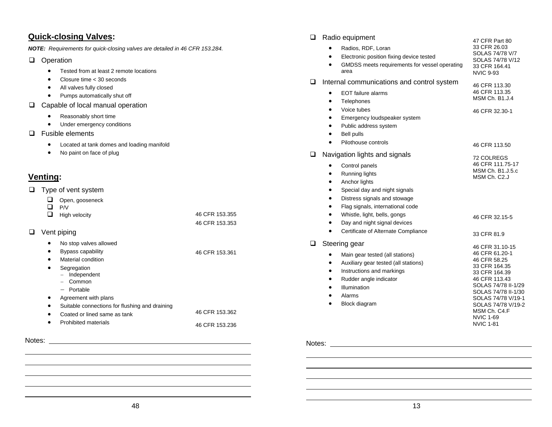#### **Quick-closing Valves:**

*NOTE: Requirements for quick-closing valves are detailed in 46 CFR 153.284.*

#### **Q** Operation

- $\bullet$ Tested from at least 2 remote locations
- •Closure time < 30 seconds
- All valves fully closed
- Pumps automatically shut off
- □ Capable of local manual operation
	- •Reasonably short time
	- Under emergency conditions
- □ Fusible elements
	- Located at tank domes and loading manifold
	- No paint on face of plug

## **Venting:**

- $\Box$  Type of vent system
	- **Q** Open, gooseneck

| $\Box$ P/V           |                |
|----------------------|----------------|
| $\Box$ High velocity | 46 CFR 153.355 |
|                      | 46 CFR 153.353 |

46 CFR 153.361

**Q** Vent piping

•

- • No stop valves allowed
	- Bypass capability
- • Material condition•
- Segregation
	- <sup>−</sup> Independent − Common
- 
- − Portable
- •Agreement with plans
- •Suitable connections for flushing and draining
- • Coated or lined same as tank• Prohibited materials46 CFR 153.362 46 CFR 153.236
- Notes:

| ❏ | Radio equipment                                                                                                                                                                                                                                                                                                                         | 47 CFR Part 80                                                                                                                                                                                                              |
|---|-----------------------------------------------------------------------------------------------------------------------------------------------------------------------------------------------------------------------------------------------------------------------------------------------------------------------------------------|-----------------------------------------------------------------------------------------------------------------------------------------------------------------------------------------------------------------------------|
|   | Radios, RDF, Loran<br>Electronic position fixing device tested<br>٠<br>GMDSS meets requirements for vessel operating<br>area                                                                                                                                                                                                            | 33 CFR 26.03<br>SOLAS 74/78 V/7<br>SOLAS 74/78 V/12<br>33 CFR 164.41<br><b>NVIC 9-93</b>                                                                                                                                    |
| ❏ | Internal communications and control system<br><b>EOT</b> failure alarms<br>Telephones<br>$\bullet$<br>Voice tubes<br>$\bullet$<br>Emergency loudspeaker system<br>٠<br>Public address system<br>٠<br><b>Bell pulls</b><br>٠<br>Pilothouse controls<br>$\bullet$                                                                         | 46 CFR 113.30<br>46 CFR 113.35<br><b>MSM Ch. B1.J.4</b><br>46 CFR 32.30-1<br>46 CFR 113.50                                                                                                                                  |
| ❏ | Navigation lights and signals<br>Control panels<br>Running lights<br>$\bullet$<br>Anchor lights<br>٠<br>Special day and night signals<br>Distress signals and stowage<br>٠<br>Flag signals, international code<br>Whistle, light, bells, gongs<br>٠<br>Day and night signal devices<br>Certificate of Alternate Compliance<br>$\bullet$ | 72 COLREGS<br>46 CFR 111.75-17<br>MSM Ch. B1.J.5.c<br>MSM Ch. C2.J<br>46 CFR 32.15-5<br>33 CFR 81.9                                                                                                                         |
| ❏ | Steering gear<br>Main gear tested (all stations)<br>Auxiliary gear tested (all stations)<br>Instructions and markings<br>$\bullet$<br>Rudder angle indicator<br>٠<br>Illumination<br>٠<br>Alarms<br>Block diagram<br>$\bullet$                                                                                                          | 46 CFR 31.10-15<br>46 CFR 61.20-1<br>46 CFR 58.25<br>33 CFR 164.35<br>33 CFR 164.39<br>46 CFR 113.43<br>SOLAS 74/78 II-1/29<br>SOLAS 74/78 II-1/30<br>SOLAS 74/78 V/19-1<br>SOLAS 74/78 V/19-2<br>MSM Ch. C4.F<br>NVIC 1-69 |

#### Notes:

NVIC 1-81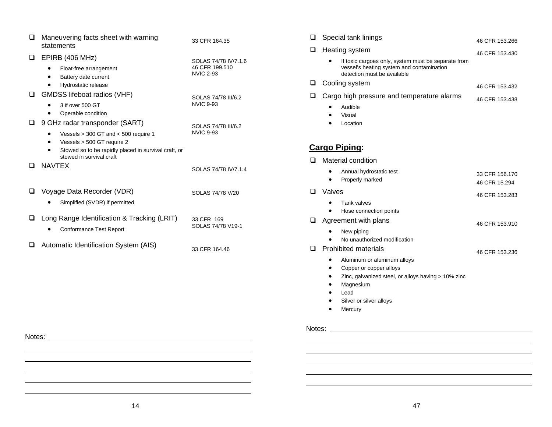| ப   | Maneuvering facts sheet with warning<br>statements                                                                                                                                                | 33 CFR 164.35                                              |
|-----|---------------------------------------------------------------------------------------------------------------------------------------------------------------------------------------------------|------------------------------------------------------------|
| u   | EPIRB (406 MHz)<br>Float-free arrangement<br>Battery date current<br>Hydrostatic release                                                                                                          | SOLAS 74/78 IV/7.1.6<br>46 CFR 199.510<br><b>NVIC 2-93</b> |
| ப   | GMDSS lifeboat radios (VHF)<br>3 if over 500 GT<br>Operable condition                                                                                                                             | SOLAS 74/78 III/6.2<br><b>NVIC 9-93</b>                    |
| ப   | 9 GHz radar transponder (SART)<br>Vessels $>$ 300 GT and $<$ 500 require 1<br>٠<br>Vessels > 500 GT require 2<br>Stowed so to be rapidly placed in survival craft, or<br>stowed in survival craft | SOLAS 74/78 III/6.2<br><b>NVIC 9-93</b>                    |
| l I | <b>NAVTEX</b>                                                                                                                                                                                     | SOLAS 74/78 IV/7.1.4                                       |
| ப   | Voyage Data Recorder (VDR)<br>Simplified (SVDR) if permitted                                                                                                                                      | SOLAS 74/78 V/20                                           |
| ⊔.  | Long Range Identification & Tracking (LRIT)<br><b>Conformance Test Report</b>                                                                                                                     | 33 CFR 169<br>SOLAS 74/78 V19-1                            |
|     | Automatic Identification System (AIS)                                                                                                                                                             | 33 CFR 164.46                                              |

| $\Box$ | Special tank linings                                                                                                                                                                                    | 46 CFR 153.266                  |
|--------|---------------------------------------------------------------------------------------------------------------------------------------------------------------------------------------------------------|---------------------------------|
| ⊔      | Heating system                                                                                                                                                                                          | 46 CFR 153.430                  |
|        | If toxic cargoes only, system must be separate from<br>vessel's heating system and contamination<br>detection must be available                                                                         |                                 |
| ◻      | Cooling system                                                                                                                                                                                          | 46 CFR 153.432                  |
| ◻      | Cargo high pressure and temperature alarms                                                                                                                                                              | 46 CFR 153.438                  |
|        | Audible<br>Visual<br>Location                                                                                                                                                                           |                                 |
|        | <b>Cargo Piping:</b>                                                                                                                                                                                    |                                 |
| □      | Material condition                                                                                                                                                                                      |                                 |
|        | Annual hydrostatic test<br>Properly marked<br>$\bullet$                                                                                                                                                 | 33 CFR 156,170<br>46 CFR 15.294 |
| ◻      | Valves                                                                                                                                                                                                  | 46 CFR 153.283                  |
|        | Tank valves                                                                                                                                                                                             |                                 |
|        | Hose connection points                                                                                                                                                                                  |                                 |
| ◻      | Agreement with plans                                                                                                                                                                                    | 46 CFR 153.910                  |
| ப      | New piping<br>No unauthorized modification<br><b>Prohibited materials</b><br>Aluminum or aluminum alloys<br>Copper or copper alloys<br>$\bullet$<br>Zinc, galvanized steel, or alloys having > 10% zinc | 46 CFR 153.236                  |
|        | Magnesium<br>Lead                                                                                                                                                                                       |                                 |
|        | Silver or silver alloys                                                                                                                                                                                 |                                 |
|        | Mercury                                                                                                                                                                                                 |                                 |
| Notes: |                                                                                                                                                                                                         |                                 |

#### 14

Notes: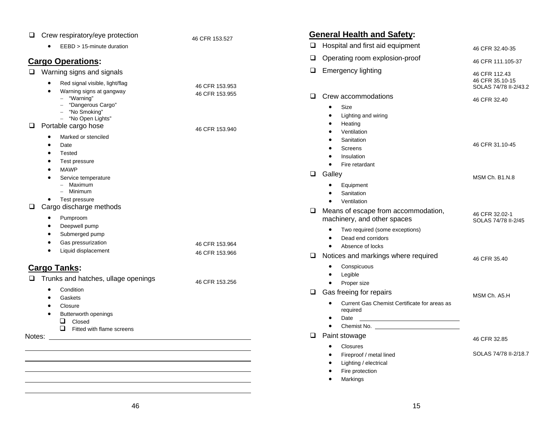| Crew respiratory/eye protection<br>⊔                                                                                                                                                      | 46 CFR 153.527                   | <b>General Health and Safety:</b>                                                                                                                                                                                                                             |                                                           |
|-------------------------------------------------------------------------------------------------------------------------------------------------------------------------------------------|----------------------------------|---------------------------------------------------------------------------------------------------------------------------------------------------------------------------------------------------------------------------------------------------------------|-----------------------------------------------------------|
| EEBD > 15-minute duration                                                                                                                                                                 |                                  | Hospital and first aid equipment<br>$\Box$                                                                                                                                                                                                                    | 46 CFR 32.40-35                                           |
| <b>Cargo Operations:</b>                                                                                                                                                                  |                                  | Operating room explosion-proof<br>❏                                                                                                                                                                                                                           | 46 CFR 111.105-37                                         |
| Warning signs and signals<br>$\Box$<br>Red signal visible, light/flag<br>$\bullet$                                                                                                        | 46 CFR 153.953                   | <b>Emergency lighting</b><br>$\Box$                                                                                                                                                                                                                           | 46 CFR 112.43<br>46 CFR 35.10-15<br>SOLAS 74/78 II-2/43.2 |
| Warning signs at gangway<br>- "Warning"<br>"Dangerous Cargo"<br>"No Smoking"<br>- "No Open Lights"<br>Portable cargo hose<br>u.<br>Marked or stenciled<br>Date<br>Tested<br>Test pressure | 46 CFR 153.955<br>46 CFR 153.940 | $\Box$<br>Crew accommodations<br>Size<br>$\bullet$<br>Lighting and wiring<br>٠<br>Heating<br>Ventilation<br>Sanitation<br><b>Screens</b><br>Insulation<br>Fire retardant                                                                                      | 46 CFR 32.40<br>46 CFR 31.10-45                           |
| <b>MAWP</b><br>Service temperature<br>- Maximum<br>- Minimum<br>Test pressure<br>$\bullet$<br>Cargo discharge methods<br>0                                                                |                                  | $\Box$<br>Galley<br>Equipment<br>Sanitation<br>Ventilation<br>$\bullet$                                                                                                                                                                                       | MSM Ch. B1.N.8                                            |
| Pumproom<br>$\bullet$<br>Deepwell pump<br>Submerged pump<br>Gas pressurization<br>Liquid displacement                                                                                     | 46 CFR 153.964<br>46 CFR 153.966 | Means of escape from accommodation,<br>□<br>machinery, and other spaces<br>Two required (some exceptions)<br>٠<br>Dead end corridors<br>$\bullet$<br>Absence of locks<br>$\bullet$<br>Notices and markings where required<br>❏                                | 46 CFR 32.02-1<br>SOLAS 74/78 II-2/45<br>46 CFR 35.40     |
| <b>Cargo Tanks:</b><br>$\Box$ Trunks and hatches, ullage openings                                                                                                                         | 46 CFR 153.256                   | Conspicuous<br>$\bullet$<br>Legible<br>$\bullet$<br>Proper size                                                                                                                                                                                               |                                                           |
| Condition<br>Gaskets<br>Closure<br>Butterworth openings<br>❏<br>Closed<br>□<br>Fitted with flame screens                                                                                  |                                  | $\Box$<br>Gas freeing for repairs<br>Current Gas Chemist Certificate for areas as<br>٠<br>required<br>Date<br>$\bullet$<br><u> 1989 - Johann Barn, mars ann an t-Amhain an t-Amhain an t-Amhain an t-Amhain an t-Amhain an t-Amhain an t-Amh</u><br>$\bullet$ | MSM Ch. A5.H                                              |
| Notes:                                                                                                                                                                                    |                                  | $\Box$<br>Paint stowage                                                                                                                                                                                                                                       | 46 CFR 32.85                                              |
|                                                                                                                                                                                           |                                  | <b>Closures</b><br>Fireproof / metal lined<br>Lighting / electrical<br>Fire protection<br>Markings<br>$\bullet$                                                                                                                                               | SOLAS 74/78 II-2/18.7                                     |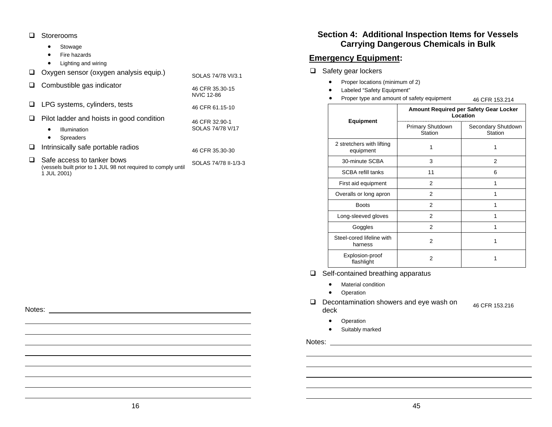□ Storerooms

1 JUL 2001)

Notes:

- •Stowage
- •Fire hazards
- •Lighting and wiring

|   | Oxygen sensor (oxygen analysis equip.)                                                          | SOLAS 74/78 VI/3.1                   |
|---|-------------------------------------------------------------------------------------------------|--------------------------------------|
| ⊔ | Combustible gas indicator                                                                       | 46 CFR 35.30-15<br><b>NVIC 12-86</b> |
|   | LPG systems, cylinders, tests                                                                   | 46 CFR 61.15-10                      |
|   | Pilot ladder and hoists in good condition<br>Illumination<br>$\bullet$<br><b>Spreaders</b><br>٠ | 46 CFR 32.90-1<br>SOLAS 74/78 V/17   |
|   | Intrinsically safe portable radios                                                              | 46 CFR 35.30-30                      |
|   | Safe access to tanker bows<br>(vessels built prior to 1 JUL 98 not required to comply until     | SOLAS 74/78 II-1/3-3                 |

**Section 4: Additional Inspection Items for Vessels Carrying Dangerous Chemicals in Bulk** 

#### **Emergency Equipment:**

- $\Box$  Safety gear lockers
	- •Proper locations (minimum of 2)
	- •Labeled "Safety Equipment"
	- •Proper type and amount of safety equipment 46 CFR 153.214

|                                        | <b>Amount Required per Safety Gear Locker</b><br>Location |                               |  |
|----------------------------------------|-----------------------------------------------------------|-------------------------------|--|
| <b>Equipment</b>                       | Primary Shutdown<br>Station                               | Secondary Shutdown<br>Station |  |
| 2 stretchers with lifting<br>equipment |                                                           | 1                             |  |
| 30-minute SCBA                         | 3                                                         | 2                             |  |
| <b>SCBA refill tanks</b>               | 11                                                        | 6                             |  |
| First aid equipment                    | 2                                                         |                               |  |
| Overalls or long apron                 | $\overline{2}$                                            |                               |  |
| <b>Boots</b>                           | 2                                                         |                               |  |
| Long-sleeved gloves                    | $\overline{2}$                                            |                               |  |
| Goggles                                | 2                                                         |                               |  |
| Steel-cored lifeline with<br>harness   | 2                                                         |                               |  |
| Explosion-proof<br>flashlight          | 2                                                         |                               |  |

46 CFR 153.216

 $\Box$  Self-contained breathing apparatus

- •Material condition
- Operation
- D Decontamination showers and eye wash on deck
	- •Operation
	- Suitably marked

Notes: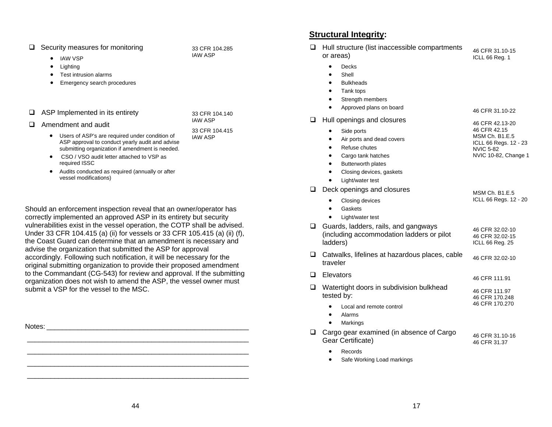| $\Box$ Security measures for monitoring |  |
|-----------------------------------------|--|
|-----------------------------------------|--|

- IAW VSP
- •Lighting
- •Test intrusion alarms
- Emergency search procedures
- $\Box$  ASP Implemented in its entirety

| Amendment and audit |  |
|---------------------|--|
|                     |  |

• Users of ASP's are required under condition of ASP approval to conduct yearly audit and advise submitting organization if amendment is needed.

33 CFR 104.285 IAW ASP

33 CFR 104.140 IAW ASP

33 CFR 104.415 IAW ASP

- CSO / VSO audit letter attached to VSP as required ISSC
- • Audits conducted as required (annually or after vessel modifications)

Should an enforcement inspection reveal that an owner/operator has correctly implemented an approved ASP in its entirety but security vulnerabilities exist in the vessel operation, the COTP shall be advised. Under 33 CFR 104.415 (a) (ii) for vessels or 33 CFR 105.415 (a) (ii) (f), the Coast Guard can determine that an amendment is necessary and advise the organization that submitted the ASP for approval accordingly. Following such notification, it will be necessary for the original submitting organization to provide their proposed amendment to the Commandant (CG-543) for review and approval. If the submitting organization does not wish to amend the ASP, the vessel owner must submit a VSP for the vessel to the MSC.

Notes: \_\_\_\_\_\_\_\_\_\_\_\_\_\_\_\_\_\_\_\_\_\_\_\_\_\_\_\_\_\_\_\_\_\_\_\_\_\_\_\_\_\_\_\_\_\_\_\_\_\_\_\_ \_\_\_\_\_\_\_\_\_\_\_\_\_\_\_\_\_\_\_\_\_\_\_\_\_\_\_\_\_\_\_\_\_\_\_\_\_\_\_\_\_\_\_\_\_\_\_\_\_\_\_\_\_\_\_\_\_

### **Structural Integrity:**

| $\Box$ | Hull structure (list inaccessible compartments<br>or areas)                                                                                                                                                                                 | 46 CFR 31.10-15<br>ICLL 66 Reg. 1                                                                                      |
|--------|---------------------------------------------------------------------------------------------------------------------------------------------------------------------------------------------------------------------------------------------|------------------------------------------------------------------------------------------------------------------------|
|        | Decks<br>Shell<br>$\bullet$<br><b>Bulkheads</b><br>Tank tops                                                                                                                                                                                |                                                                                                                        |
|        | Strength members<br>Approved plans on board                                                                                                                                                                                                 | 46 CFR 31.10-22                                                                                                        |
| ⊔      | Hull openings and closures<br>Side ports<br>$\bullet$<br>Air ports and dead covers<br>$\bullet$<br>Refuse chutes<br>$\bullet$<br>٠<br>Cargo tank hatches<br>Butterworth plates<br>$\bullet$<br>Closing devices, gaskets<br>Light/water test | 46 CFR 42.13-20<br>46 CFR 42.15<br><b>MSM Ch. B1.E.5</b><br>ICLL 66 Regs. 12 - 23<br>NVIC 5-82<br>NVIC 10-82, Change 1 |
| ⊔      | Deck openings and closures<br>Closing devices<br>Gaskets<br>Light/water test                                                                                                                                                                | <b>MSM Ch. B1.E.5</b><br>ICLL 66 Regs. 12 - 20                                                                         |
| ❏      | Guards, ladders, rails, and gangways<br>(including accommodation ladders or pilot<br>ladders)                                                                                                                                               | 46 CFR 32.02-10<br>46 CFR 32.02-15<br>ICLL 66 Reg. 25                                                                  |
| ❏      | Catwalks, lifelines at hazardous places, cable<br>traveler                                                                                                                                                                                  | 46 CFR 32.02-10                                                                                                        |
| □      | Elevators                                                                                                                                                                                                                                   | 46 CFR 111.91                                                                                                          |
| ❏      | Watertight doors in subdivision bulkhead<br>tested by:                                                                                                                                                                                      | 46 CFR 111.97<br>46 CFR 170.248                                                                                        |
|        | Local and remote control<br>Alarms<br>Markings                                                                                                                                                                                              | 46 CFR 170.270                                                                                                         |
| ❏      | Cargo gear examined (in absence of Cargo<br>Gear Certificate)                                                                                                                                                                               | 46 CFR 31.10-16<br>46 CFR 31.37                                                                                        |
|        | Records<br>$\bullet$                                                                                                                                                                                                                        |                                                                                                                        |

•Safe Working Load markings

\_\_\_\_\_\_\_\_\_\_\_\_\_\_\_\_\_\_\_\_\_\_\_\_\_\_\_\_\_\_\_\_\_\_\_\_\_\_\_\_\_\_\_\_\_\_\_\_\_\_\_\_\_\_\_\_\_

\_\_\_\_\_\_\_\_\_\_\_\_\_\_\_\_\_\_\_\_\_\_\_\_\_\_\_\_\_\_\_\_\_\_\_\_\_\_\_\_\_\_\_\_\_\_\_\_\_\_\_\_\_\_\_\_\_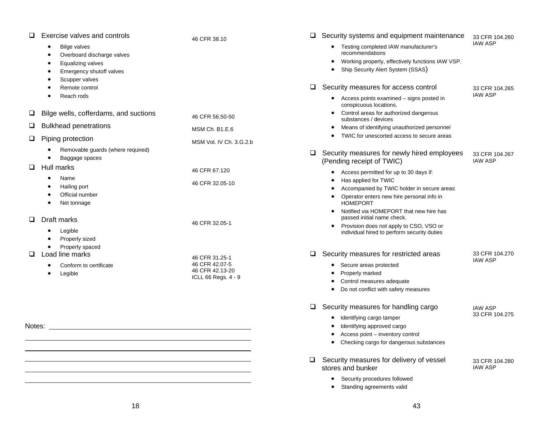|        | Exercise valves and controls                      | 46 CFR 38.10                      |   | Security systems and equipment maintenance                                             | 33 CFR 104.260                   |
|--------|---------------------------------------------------|-----------------------------------|---|----------------------------------------------------------------------------------------|----------------------------------|
|        | <b>Bilge valves</b><br>Overboard discharge valves |                                   |   | Testing completed IAW manufacturer's<br>recommendations                                | <b>IAW ASP</b>                   |
|        | Equalizing valves                                 |                                   |   | Working properly, effectively functions IAW VSP.<br>$\bullet$                          |                                  |
|        | Emergency shutoff valves                          |                                   |   | Ship Security Alert System (SSAS)<br>$\bullet$                                         |                                  |
|        | Scupper valves                                    |                                   |   |                                                                                        |                                  |
|        | Remote control                                    |                                   | ❏ | Security measures for access control                                                   | 33 CFR 104.265                   |
|        | Reach rods                                        |                                   |   | • Access points examined – signs posted in<br>conspicuous locations.                   | <b>IAW ASP</b>                   |
| ⊔      | Bilge wells, cofferdams, and suctions             | 46 CFR 56.50-50                   |   | Control areas for authorized dangerous<br>substances / devices                         |                                  |
| $\Box$ | <b>Bulkhead penetrations</b>                      | MSM Ch. B1.E.6                    |   | Means of identifying unauthorized personnel                                            |                                  |
| □      | Piping protection                                 | MSM Vol. IV Ch. 3.G.2.b           |   | TWIC for unescorted access to secure areas<br>$\bullet$                                |                                  |
|        | Removable guards (where required)                 |                                   |   |                                                                                        |                                  |
|        | Baggage spaces                                    |                                   | ❏ | Security measures for newly hired employees                                            | 33 CFR 104.267<br><b>IAW ASP</b> |
| $\Box$ | Hull marks                                        |                                   |   | (Pending receipt of TWIC)                                                              |                                  |
|        | Name                                              | 46 CFR 67.120                     |   | Access permitted for up to 30 days if:<br>٠                                            |                                  |
|        | Hailing port                                      | 46 CFR 32.05-10                   |   | Has applied for TWIC<br>$\bullet$<br>Accompanied by TWIC holder in secure areas        |                                  |
|        | Official number                                   |                                   |   |                                                                                        |                                  |
|        | Net tonnage                                       |                                   |   | Operator enters new hire personal info in<br><b>HOMEPORT</b>                           |                                  |
|        |                                                   |                                   |   | Notified via HOMEPORT that new hire has                                                |                                  |
| $\Box$ | Draft marks                                       | 46 CFR 32.05-1                    |   | passed initial name check.                                                             |                                  |
|        | Legible                                           |                                   |   | Provision does not apply to CSO, VSO or<br>individual hired to perform security duties |                                  |
|        | Properly sized                                    |                                   |   |                                                                                        |                                  |
|        | Properly spaced                                   |                                   |   |                                                                                        |                                  |
| $\Box$ | Load line marks                                   | 46 CFR 31.25-1                    | □ | Security measures for restricted areas                                                 | 33 CFR 104.270<br><b>IAW ASP</b> |
|        | Conform to certificate                            | 46 CFR 42.07-5<br>46 CFR 42.13-20 |   | Secure areas protected                                                                 |                                  |
|        | Legible                                           | ICLL 66 Regs. 4 - 9               |   | Properly marked                                                                        |                                  |
|        |                                                   |                                   |   | Control measures adequate                                                              |                                  |
|        |                                                   |                                   |   | Do not conflict with safety measures<br>٠                                              |                                  |
|        |                                                   |                                   | ❏ | Security measures for handling cargo                                                   | <b>IAW ASP</b>                   |
|        |                                                   |                                   |   | Identifying cargo tamper<br>$\bullet$                                                  | 33 CFR 104.275                   |
| Notes: |                                                   |                                   |   | Identifying approved cargo                                                             |                                  |
|        |                                                   |                                   |   | Access point - inventory control<br>$\bullet$                                          |                                  |
|        |                                                   |                                   |   | Checking cargo for dangerous substances<br>٠                                           |                                  |
|        |                                                   |                                   | u | Security measures for delivery of vessel                                               | 33 CFR 104.280                   |
|        |                                                   |                                   |   | stores and bunker                                                                      | <b>IAW ASP</b>                   |
|        |                                                   |                                   |   | Security procedures followed                                                           |                                  |
|        |                                                   |                                   |   | Standing agreements valid                                                              |                                  |
|        |                                                   |                                   |   |                                                                                        |                                  |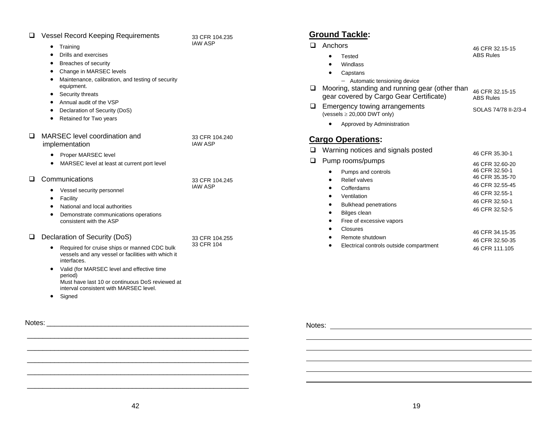| ப      | <b>Vessel Record Keeping Requirements</b><br>Training<br>Drills and exercises<br>Breaches of security<br>Change in MARSEC levels<br>$\bullet$<br>Maintenance, calibration, and testing of security<br>$\bullet$<br>equipment.<br>Security threats<br>Annual audit of the VSP<br>Declaration of Security (DoS)<br>٠<br>Retained for Two years<br>٠ | 33 CFR 104.235<br><b>IAW ASP</b> |
|--------|---------------------------------------------------------------------------------------------------------------------------------------------------------------------------------------------------------------------------------------------------------------------------------------------------------------------------------------------------|----------------------------------|
| ◻      | MARSEC level coordination and<br>implementation<br>Proper MARSEC level<br>MARSEC level at least at current port level                                                                                                                                                                                                                             | 33 CFR 104.240<br><b>IAW ASP</b> |
| □      | Communications<br>Vessel security personnel<br>$\bullet$<br>Facility<br>$\bullet$<br>National and local authorities<br>Demonstrate communications operations<br>consistent with the ASP                                                                                                                                                           | 33 CFR 104.245<br><b>IAW ASP</b> |
| ப      | Declaration of Security (DoS)<br>Required for cruise ships or manned CDC bulk<br>vessels and any vessel or facilities with which it<br>interfaces.<br>Valid (for MARSEC level and effective time<br>٠<br>period)<br>Must have last 10 or continuous DoS reviewed at<br>interval consistent with MARSEC level.<br>Signed                           | 33 CFR 104.255<br>33 CFR 104     |
| Notes: |                                                                                                                                                                                                                                                                                                                                                   |                                  |

#### **Ground Tackle:**

| l I | Anchors                                                                                   | 46 CFR 32.15-15                     |  |
|-----|-------------------------------------------------------------------------------------------|-------------------------------------|--|
|     | Tested                                                                                    | <b>ABS Rules</b>                    |  |
|     | Windlass                                                                                  |                                     |  |
|     | Capstans                                                                                  |                                     |  |
|     | Automatic tensioning device                                                               |                                     |  |
| ⊔   | Mooring, standing and running gear (other than<br>gear covered by Cargo Gear Certificate) | 46 CFR 32.15-15<br><b>ABS Rules</b> |  |
| ⊔   | Emergency towing arrangements<br>(vessels $\geq$ 20,000 DWT only)                         | SOI AS 74/78 II-2/3-4               |  |
|     | Approved by Administration                                                                |                                     |  |
|     | <b>Cargo Operations:</b>                                                                  |                                     |  |
| n   | Warning notices and signals posted                                                        | 46 CFR 35.30-1                      |  |
| □   | Pump rooms/pumps                                                                          | 46 CFR 32.60-20                     |  |
|     | Pumps and controls<br>٠                                                                   | 46 CFR 32.50-1                      |  |
|     | Relief valves                                                                             | 46 CFR 35.35-70                     |  |
|     | Cofferdams                                                                                | 46 CFR 32.55-45                     |  |
|     | Ventilation                                                                               | 46 CFR 32.55-1                      |  |
|     | <b>Bulkhead penetrations</b>                                                              | 46 CFR 32.50-1                      |  |
|     | Bilges clean<br>٠                                                                         | 46 CFR 32.52-5                      |  |
|     | Free of excessive vapors<br>$\bullet$                                                     |                                     |  |
|     | Closures                                                                                  | 46 CFR 34.15-35                     |  |
|     | Remote shutdown                                                                           | 46 CFR 32.50-35                     |  |
|     | Electrical controls outside compartment                                                   | 46 CFR 111.105                      |  |

Notes:

 \_\_\_\_\_\_\_\_\_\_\_\_\_\_\_\_\_\_\_\_\_\_\_\_\_\_\_\_\_\_\_\_\_\_\_\_\_\_\_\_\_\_\_\_\_\_\_\_\_\_\_\_\_\_\_\_\_ \_\_\_\_\_\_\_\_\_\_\_\_\_\_\_\_\_\_\_\_\_\_\_\_\_\_\_\_\_\_\_\_\_\_\_\_\_\_\_\_\_\_\_\_\_\_\_\_\_\_\_\_\_\_\_\_\_

\_\_\_\_\_\_\_\_\_\_\_\_\_\_\_\_\_\_\_\_\_\_\_\_\_\_\_\_\_\_\_\_\_\_\_\_\_\_\_\_\_\_\_\_\_\_\_\_\_\_\_\_\_\_\_\_\_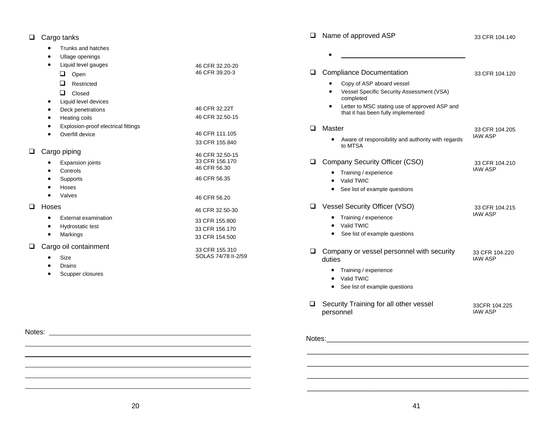#### □ Cargo tanks

- •Trunks and hatches
- •Ullage openings
- • Liquid level gauges  $\Box$  Open **Restricted Q** Closed • Liquid level devices • Deck penetrations • Heating coils • Explosion-proof electrical fittings • Overfill device 46 CFR 32.20-20 46 CFR 39.20-3 46 CFR 32.22T 46 CFR 32.50-15 46 CFR 111.105 33 CFR 155.840 □ Cargo piping • Expansion joints •**Controls** • Supports 46 CFR 32.50-15 33 CFR 156.170 46 CFR 56.30 46 CFR 56.35
- Hoses Valves 46 CFR 56.20 **Q** Hoses 46 CFR 32.50-30
	- • External examination • Hydrostatic test • Markings 33 CFR 155.800 33 CFR 156.170 33 CFR 154.500

33 CFR 155.310 SOLAS 74/78 II-2/59

- □ Cargo oil containment
	- •Size

Notes:

•

•

- •Drains
- •Scupper closures
- □ Name of approved ASP • 33 CFR 104.140 **Q** Compliance Documentation • Copy of ASP aboard vessel • Vessel Specific Security Assessment (VSA) completed • Letter to MSC stating use of approved ASP and that it has been fully implemented 33 CFR 104.120 □ Master • Aware of responsibility and authority with regards to MTSA 33 CFR 104.205 IAW ASP Company Security Officer (CSO) • Training / experience • Valid TWIC • See list of example questions 33 CFR 104.210 IAW ASP Vessel Security Officer (VSO) • Training / experience • Valid TWIC • See list of example questions 33 CFR 104.215 IAW ASP  $\Box$  Company or vessel personnel with security duties • Training / experience • Valid TWIC • See list of example questions 33 CFR 104.220 IAW ASP  $\Box$  Security Training for all other vessel personnel 33CFR 104.225 IAW ASP
- Notes: \_\_\_\_\_\_\_\_\_\_\_\_\_\_\_\_\_\_\_\_\_\_\_\_\_\_\_\_\_\_\_\_\_\_\_\_\_\_\_\_\_\_\_\_\_\_\_\_\_\_\_\_

 \_\_\_\_\_\_\_\_\_\_\_\_\_\_\_\_\_\_\_\_\_\_\_\_\_\_\_\_\_\_\_\_\_\_\_\_\_\_\_\_\_\_\_\_\_\_\_\_\_\_\_\_\_\_\_\_\_  $\mathcal{L}_\text{max} = \mathcal{L}_\text{max} = \mathcal{L}_\text{max} = \mathcal{L}_\text{max} = \mathcal{L}_\text{max} = \mathcal{L}_\text{max} = \mathcal{L}_\text{max} = \mathcal{L}_\text{max} = \mathcal{L}_\text{max} = \mathcal{L}_\text{max} = \mathcal{L}_\text{max} = \mathcal{L}_\text{max} = \mathcal{L}_\text{max} = \mathcal{L}_\text{max} = \mathcal{L}_\text{max} = \mathcal{L}_\text{max} = \mathcal{L}_\text{max} = \mathcal{L}_\text{max} = \mathcal{$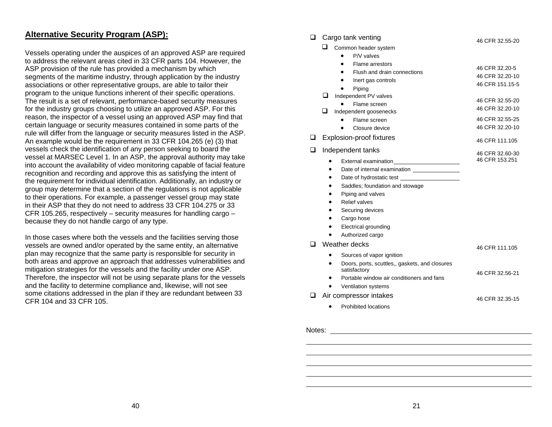#### **Alternative Security Program (ASP):**

Vessels operating under the auspices of an approved ASP are required to address the relevant areas cited in 33 CFR parts 104. However, the ASP provision of the rule has provided a mechanism by which segments of the maritime industry, through application by the industry associations or other representative groups, are able to tailor their program to the unique functions inherent of their specific operations. The result is a set of relevant, performance-based security measures for the industry groups choosing to utilize an approved ASP. For this reason, the inspector of a vessel using an approved ASP may find that certain language or security measures contained in some parts of the rule will differ from the language or security measures listed in the ASP. An example would be the requirement in 33 CFR 104.265 (e) (3) that vessels check the identification of any person seeking to board the vessel at MARSEC Level 1. In an ASP, the approval authority may take into account the availability of video monitoring capable of facial feature recognition and recording and approve this as satisfying the intent of the requirement for individual identification. Additionally, an industry or group may determine that a section of the regulations is not applicable to their operations. For example, a passenger vessel group may state in their ASP that they do not need to address 33 CFR 104.275 or 33 CFR 105.265, respectively – security measures for handling cargo – because they do not handle cargo of any type.

In those cases where both the vessels and the facilities serving those vessels are owned and/or operated by the same entity, an alternative plan may recognize that the same party is responsible for security in both areas and approve an approach that addresses vulnerabilities and mitigation strategies for the vessels and the facility under one ASP. Therefore, the inspector will not be using separate plans for the vessels and the facility to determine compliance and, likewise, will not see some citations addressed in the plan if they are redundant between 33 CFR 104 and 33 CFR 105.

#### $\Box$  Cargo tank venting

|  |  | Common header system |
|--|--|----------------------|
|--|--|----------------------|

|   |           | Common neader system                                           |                 |
|---|-----------|----------------------------------------------------------------|-----------------|
|   |           | P/V valves                                                     |                 |
|   |           | Flame arrestors                                                | 46 CFR 32.20-5  |
|   |           | Flush and drain connections                                    | 46 CFR 32.20-10 |
|   |           | Inert gas controls                                             | 46 CFR 151.15-5 |
|   |           | Piping                                                         |                 |
|   | ⊔         | Independent PV valves                                          | 46 CFR 32.55-20 |
|   |           | Flame screen                                                   | 46 CFR 32.20-10 |
|   | ப         | Independent goosenecks                                         |                 |
|   |           | Flame screen                                                   | 46 CFR 32.55-25 |
|   |           | Closure device                                                 | 46 CFR 32.20-10 |
| ப |           | Explosion-proof fixtures                                       | 46 CFR 111.105  |
| ❏ |           | Independent tanks                                              | 46 CFR 32.60-30 |
|   |           |                                                                | 46 CFR 153.251  |
|   |           | Date of internal examination ________________                  |                 |
|   | $\bullet$ |                                                                |                 |
|   | $\bullet$ | Saddles; foundation and stowage                                |                 |
|   |           | Piping and valves                                              |                 |
|   | ٠         | <b>Relief valves</b>                                           |                 |
|   |           | Securing devices                                               |                 |
|   |           | Cargo hose                                                     |                 |
|   |           | Electrical grounding                                           |                 |
|   |           | Authorized cargo                                               |                 |
|   |           | Weather decks                                                  | 46 CFR 111.105  |
|   |           | Sources of vapor ignition                                      |                 |
|   | $\bullet$ | Doors, ports, scuttles,, gaskets, and closures<br>satisfactory | 46 CFR 32.56-21 |
|   |           | Portable window air conditioners and fans                      |                 |
|   |           | Ventilation systems                                            |                 |
|   |           | Air compressor intakes                                         | 46 CFR 32.35-15 |
|   |           | Prohibited locations                                           |                 |
|   |           |                                                                |                 |

46 CFR 32.55-20

Notes: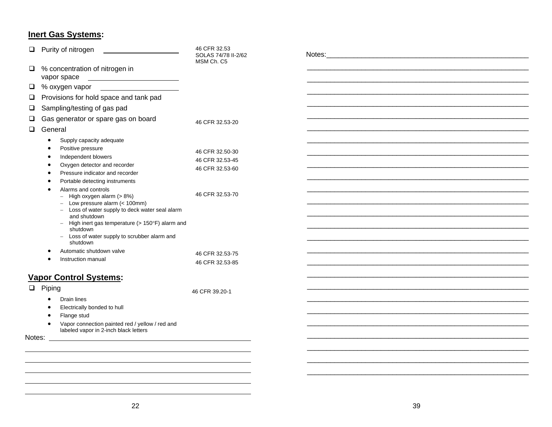## **Inert Gas Systems:**

| $\Box$ | Purity of nitrogen                                                                                                                                                                                                                                                                                                                                                                                                                                                                                            | 46 CFR 32.53<br>SOLAS 74/78 II-2/62<br>MSM Ch. C5                                           |  |
|--------|---------------------------------------------------------------------------------------------------------------------------------------------------------------------------------------------------------------------------------------------------------------------------------------------------------------------------------------------------------------------------------------------------------------------------------------------------------------------------------------------------------------|---------------------------------------------------------------------------------------------|--|
|        | $\Box$ % concentration of nitrogen in<br>vapor space                                                                                                                                                                                                                                                                                                                                                                                                                                                          |                                                                                             |  |
|        | $\Box$ % oxygen vapor $\Box$                                                                                                                                                                                                                                                                                                                                                                                                                                                                                  |                                                                                             |  |
| ⊔      | Provisions for hold space and tank pad                                                                                                                                                                                                                                                                                                                                                                                                                                                                        |                                                                                             |  |
| $\Box$ | Sampling/testing of gas pad                                                                                                                                                                                                                                                                                                                                                                                                                                                                                   |                                                                                             |  |
|        | Gas generator or spare gas on board                                                                                                                                                                                                                                                                                                                                                                                                                                                                           | 46 CFR 32.53-20                                                                             |  |
| $\Box$ | General                                                                                                                                                                                                                                                                                                                                                                                                                                                                                                       |                                                                                             |  |
|        | Supply capacity adequate<br>Positive pressure<br>Independent blowers<br>Oxygen detector and recorder<br>Pressure indicator and recorder<br>Portable detecting instruments<br>Alarms and controls<br>$-$ High oxygen alarm $(> 8\%)$<br>$-$ Low pressure alarm (< 100mm)<br>- Loss of water supply to deck water seal alarm<br>and shutdown<br>- High inert gas temperature ( $> 150^{\circ}$ F) alarm and<br>shutdown<br>- Loss of water supply to scrubber alarm and<br>shutdown<br>Automatic shutdown valve | 46 CFR 32.50-30<br>46 CFR 32.53-45<br>46 CFR 32.53-60<br>46 CFR 32.53-70<br>46 CFR 32.53-75 |  |
|        | Instruction manual                                                                                                                                                                                                                                                                                                                                                                                                                                                                                            | 46 CFR 32.53-85                                                                             |  |
|        | <b>Vapor Control Systems:</b>                                                                                                                                                                                                                                                                                                                                                                                                                                                                                 |                                                                                             |  |
|        | $\Box$ Piping<br>Drain lines<br>$\bullet$<br>Electrically bonded to hull<br>Flange stud<br>Vapor connection painted red / yellow / red and<br>$\bullet$<br>labeled vapor in 2-inch black letters<br>Notes: _<br><u> 1989 - Johann Barn, fransk politik (f. 1989)</u>                                                                                                                                                                                                                                          | 46 CFR 39.20-1                                                                              |  |
|        |                                                                                                                                                                                                                                                                                                                                                                                                                                                                                                               |                                                                                             |  |
|        |                                                                                                                                                                                                                                                                                                                                                                                                                                                                                                               |                                                                                             |  |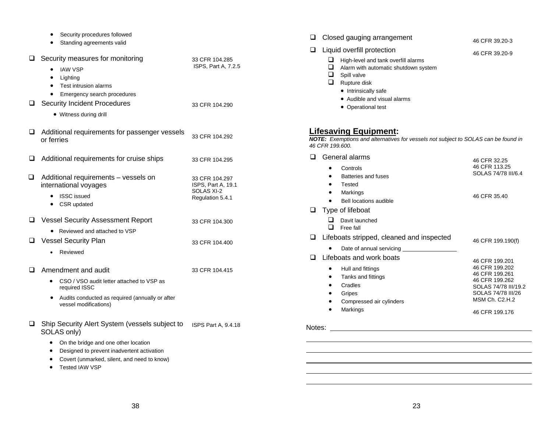|        | Security procedures followed<br>Standing agreements valid                                                                                                                  |                                                                        |
|--------|----------------------------------------------------------------------------------------------------------------------------------------------------------------------------|------------------------------------------------------------------------|
| $\Box$ | Security measures for monitoring<br><b>IAW VSP</b><br>$\bullet$<br>Lighting<br>٠<br>Test intrusion alarms<br>$\bullet$                                                     | 33 CFR 104.285<br>ISPS, Part A, 7.2.5                                  |
| o.     | Emergency search procedures<br><b>Security Incident Procedures</b><br>• Witness during drill                                                                               | 33 CFR 104.290                                                         |
| ⊔      | Additional requirements for passenger vessels<br>or ferries                                                                                                                | 33 CFR 104.292                                                         |
| ⊔      | Additional requirements for cruise ships                                                                                                                                   | 33 CFR 104.295                                                         |
| ◻      | Additional requirements - vessels on<br>international voyages<br><b>ISSC</b> issued<br>CSR updated                                                                         | 33 CFR 104.297<br>ISPS, Part A, 19.1<br>SOLAS XI-2<br>Regulation 5.4.1 |
| u      | <b>Vessel Security Assessment Report</b><br>Reviewed and attached to VSP                                                                                                   | 33 CFR 104.300                                                         |
| u      | <b>Vessel Security Plan</b><br>Reviewed                                                                                                                                    | 33 CFR 104.400                                                         |
| ப      | Amendment and audit<br>CSO / VSO audit letter attached to VSP as<br>$\bullet$<br>required ISSC<br>Audits conducted as required (annually or after<br>vessel modifications) | 33 CFR 104.415                                                         |
| o.     | Ship Security Alert System (vessels subject to<br>SOLAS only)<br>On the bridge and one other location<br>Designed to prevent inadvertent activation                        | <b>ISPS Part A, 9.4.18</b>                                             |

- Covert (unmarked, silent, and need to know)
- Tested IAW VSP

| ◻      |                                          | Closed gauging arrangement                                                                                                                                                                                            | 46 CFR 39.20-3                                                                                                                                         |
|--------|------------------------------------------|-----------------------------------------------------------------------------------------------------------------------------------------------------------------------------------------------------------------------|--------------------------------------------------------------------------------------------------------------------------------------------------------|
| ❏      | ப<br>ப<br>⊔<br>□                         | Liquid overfill protection<br>High-level and tank overfill alarms<br>Alarm with automatic shutdown system<br>Spill valve<br>Rupture disk<br>• Intrinsically safe<br>• Audible and visual alarms<br>• Operational test | 46 CFR 39.20-9                                                                                                                                         |
|        | 46 CFR 199.600.                          | <u> Lifesaving Equipment:</u><br>NOTE: Exemptions and alternatives for vessels not subject to SOLAS can be found in                                                                                                   |                                                                                                                                                        |
| □      | $\bullet$<br>$\bullet$<br>$\bullet$<br>٠ | General alarms<br>Controls<br>Batteries and fuses<br>Tested<br>Markings<br>Bell locations audible                                                                                                                     | 46 CFR 32.25<br>46 CFR 113.25<br>SOLAS 74/78 III/6.4<br>46 CFR 35.40                                                                                   |
| ❏      | ப<br>◻                                   | Type of lifeboat<br>Davit launched<br>Free fall                                                                                                                                                                       |                                                                                                                                                        |
| ❏      |                                          | Lifeboats stripped, cleaned and inspected<br>Date of annual servicing                                                                                                                                                 | 46 CFR 199.190(f)                                                                                                                                      |
| $\Box$ | ٠<br>٠                                   | Lifeboats and work boats<br>Hull and fittings<br>Tanks and fittings<br>Cradles<br>Gripes<br>Compressed air cylinders<br>Markings                                                                                      | 46 CFR 199.201<br>46 CFR 199.202<br>46 CFR 199.261<br>46 CFR 199.262<br>SOLAS 74/78 III/19.2<br>SOLAS 74/78 III/26<br>MSM Ch. C2.H.2<br>46 CFR 199.176 |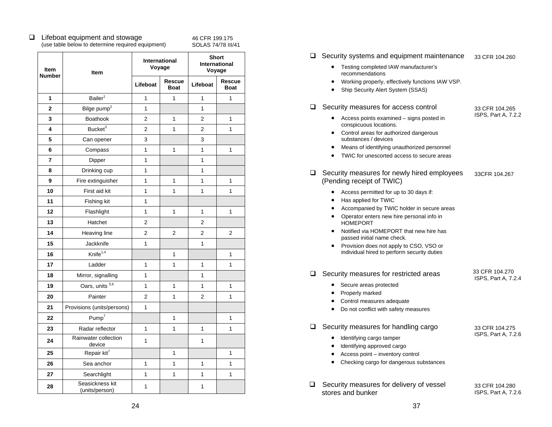#### $\Box$  Lifeboat equipment and stowage (use table below to determine required equipment)

46 CFR 199.175 SOLAS 74/78 III/41

| Item           | Item                              | International<br>Voyage |                       | <b>Short</b><br>International<br>Voyage |                              |
|----------------|-----------------------------------|-------------------------|-----------------------|-----------------------------------------|------------------------------|
| <b>Number</b>  |                                   | Lifeboat                | Rescue<br><b>Boat</b> | Lifeboat                                | <b>Rescue</b><br><b>Boat</b> |
| 1              | $B$ ailer <sup>1</sup>            | 1                       | 1                     | 1                                       | 1                            |
| $\overline{2}$ | Bilge pump <sup>2</sup>           | $\mathbf{1}$            |                       | $\mathbf{1}$                            |                              |
| 3              | Boathook                          | $\overline{2}$          | $\mathbf{1}$          | $\overline{2}$                          | 1                            |
| 4              | Bucket <sup>3</sup>               | $\overline{2}$          | 1                     | $\overline{2}$                          | 1                            |
| 5              | Can opener                        | 3                       |                       | 3                                       |                              |
| 6              | Compass                           | 1                       | 1                     | $\mathbf{1}$                            | 1                            |
| 7              | Dipper                            | 1                       |                       | 1                                       |                              |
| 8              | Drinking cup                      | 1                       |                       | 1                                       |                              |
| 9              | Fire extinguisher                 | 1                       | 1                     | 1                                       | 1                            |
| 10             | First aid kit                     | 1                       | 1                     | 1                                       | 1                            |
| 11             | Fishing kit                       | $\mathbf{1}$            |                       |                                         |                              |
| 12             | Flashlight                        | 1                       | 1                     | 1                                       | 1                            |
| 13             | Hatchet                           | 2                       |                       | 2                                       |                              |
| 14             | Heaving line                      | $\overline{2}$          | $\overline{2}$        | $\overline{2}$                          | $\overline{2}$               |
| 15             | Jackknife                         | 1                       |                       | 1                                       |                              |
| 16             | Knife <sup>1,4</sup>              |                         | 1                     |                                         | 1                            |
| 17             | Ladder                            | 1                       | 1                     | 1                                       | 1                            |
| 18             | Mirror, signalling                | 1                       |                       | 1                                       |                              |
| 19             | Oars, units 5,6                   | 1                       | $\mathbf{1}$          | $\mathbf{1}$                            | 1                            |
| 20             | Painter                           | $\overline{2}$          | 1                     | 2                                       | 1                            |
| 21             | Provisions (units/persons)        | 1                       |                       |                                         |                              |
| 22             | Pump <sup>7</sup>                 |                         | 1                     |                                         | 1                            |
| 23             | Radar reflector                   | 1                       | 1                     | 1                                       | 1                            |
| 24             | Rainwater collection<br>device    | 1                       |                       | 1                                       |                              |
| 25             | Repair kit <sup>7</sup>           |                         | 1                     |                                         | 1                            |
| 26             | Sea anchor                        | $\mathbf{1}$            | 1                     | 1                                       | $\mathbf{1}$                 |
| 27             | Searchlight                       | 1                       | 1                     | 1                                       | 1                            |
| 28             | Seasickness kit<br>(units/person) | $\mathbf{1}$            |                       | $\mathbf{1}$                            |                              |

#### $\Box$  Security systems and equipment maintenance 33 CFR 104.260

- Testing completed IAW manufacturer's recommendations
- Working properly, effectively functions IAW VSP.
- •Ship Security Alert System (SSAS)

#### $\Box$  Security measures for access control

 33 CFR 104.265 ISPS, Part A, 7.2.2

- • Access points examined – signs posted in conspicuous locations.
- Control areas for authorized dangerous substances / devices
- Means of identifying unauthorized personnel
- TWIC for unescorted access to secure areas
- $\Box$  Security measures for newly hired employees (Pending receipt of TWIC) 33CFR 104.267
	- Access permitted for up to 30 days if:
	- •Has applied for TWIC
	- •Accompanied by TWIC holder in secure areas
	- • Operator enters new hire personal info in HOMEPORT
	- • Notified via HOMEPORT that new hire has passed initial name check.
	- $\bullet$  Provision does not apply to CSO, VSO or individual hired to perform security duties
- $\Box$  Security measures for restricted areas

33 CFR 104.270 ISPS, Part A, 7.2.4

- Secure areas protected
- Properly marked
- •Control measures adequate
- •Do not conflict with safety measures

#### $\Box$  Security measures for handling cargo

 33 CFR 104.275 ISPS, Part A, 7.2.6

- Identifying cargo tamper
- Identifying approved cargo
- Access point inventory control
- Checking cargo for dangerous substances
- $\Box$  Security measures for delivery of vessel stores and bunker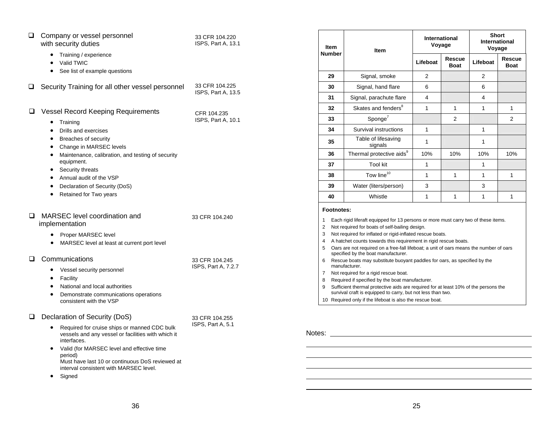| Company or vessel personnel<br>❏<br>with security duties<br>Training / experience<br>Valid TWIC<br>$\bullet$<br>See list of example questions<br>$\bullet$                                                                                                                                                                                                                                                      | 33 CFR 104.220<br>ISPS, Part A, 13.1  |
|-----------------------------------------------------------------------------------------------------------------------------------------------------------------------------------------------------------------------------------------------------------------------------------------------------------------------------------------------------------------------------------------------------------------|---------------------------------------|
| Security Training for all other vessel personnel<br>ப                                                                                                                                                                                                                                                                                                                                                           | 33 CFR 104.225<br>ISPS, Part A, 13.5  |
| <b>Vessel Record Keeping Requirements</b><br>ப<br>Training<br>$\bullet$<br>Drills and exercises<br>$\bullet$<br>Breaches of security<br>$\bullet$<br>Change in MARSEC levels<br>٠<br>Maintenance, calibration, and testing of security<br>$\bullet$<br>equipment.<br>Security threats<br>٠<br>Annual audit of the VSP<br>$\bullet$<br>Declaration of Security (DoS)<br>$\bullet$<br>Retained for Two years<br>٠ | CFR 104.235<br>ISPS, Part A, 10.1     |
| MARSEC level coordination and<br>□<br>implementation<br>Proper MARSEC level<br>$\bullet$<br>MARSEC level at least at current port level<br>$\bullet$                                                                                                                                                                                                                                                            | 33 CFR 104.240                        |
| Communications<br>ப<br>Vessel security personnel<br>$\bullet$<br>Facility<br>٠<br>National and local authorities<br>$\bullet$<br>$\bullet$<br>Demonstrate communications operations<br>consistent with the VSP                                                                                                                                                                                                  | 33 CFR 104.245<br>ISPS, Part A, 7.2.7 |
| Declaration of Security (DoS)<br>ப<br>Required for cruise ships or manned CDC bulk<br>٠<br>vessels and any vessel or facilities with which it<br>interfaces.<br>Valid (for MARSEC level and effective time<br>٠<br>period)<br>Must have last 10 or continuous DoS reviewed at<br>interval consistent with MARSEC level.<br>Signed                                                                               | 33 CFR 104.255<br>ISPS, Part A, 5.1   |

| <b>Item</b><br><b>Number</b> | Item                                                                                                                                                                                                                                                                  |                            | International<br>Voyage |                | Short<br>International<br>Voyage |  |
|------------------------------|-----------------------------------------------------------------------------------------------------------------------------------------------------------------------------------------------------------------------------------------------------------------------|----------------------------|-------------------------|----------------|----------------------------------|--|
|                              |                                                                                                                                                                                                                                                                       | Rescue<br>Lifeboat<br>Boat |                         | Lifeboat       | Rescue<br><b>Boat</b>            |  |
| 29                           | Signal, smoke                                                                                                                                                                                                                                                         | $\overline{2}$             |                         | $\overline{2}$ |                                  |  |
| 30                           | Signal, hand flare                                                                                                                                                                                                                                                    | 6                          |                         | 6              |                                  |  |
| 31                           | Signal, parachute flare                                                                                                                                                                                                                                               | 4                          |                         | 4              |                                  |  |
| 32                           | Skates and fenders <sup>8</sup>                                                                                                                                                                                                                                       | $\mathbf{1}$               | 1                       | 1              | 1                                |  |
| 33                           | $S$ ponge $^7$                                                                                                                                                                                                                                                        |                            | 2                       |                | 2                                |  |
| 34                           | Survival instructions                                                                                                                                                                                                                                                 | 1                          |                         | 1              |                                  |  |
| 35                           | Table of lifesaving<br>signals                                                                                                                                                                                                                                        | 1                          |                         | 1              |                                  |  |
| 36                           | Thermal protective aids <sup>9</sup>                                                                                                                                                                                                                                  | 10%                        | 10%                     | 10%            | 10%                              |  |
| 37                           | <b>Tool kit</b>                                                                                                                                                                                                                                                       | $\mathbf{1}$               |                         | 1              |                                  |  |
| 38                           | Tow line <sup>10</sup>                                                                                                                                                                                                                                                | 1                          | 1                       | 1              | 1                                |  |
| 39                           | Water (liters/person)                                                                                                                                                                                                                                                 | 3                          |                         | 3              |                                  |  |
| 40                           | Whistle                                                                                                                                                                                                                                                               | 1                          | 1                       | 1              | 1                                |  |
| Footnotes:                   |                                                                                                                                                                                                                                                                       |                            |                         |                |                                  |  |
| 1<br>2<br>3<br>4             | Each rigid liferaft equipped for 13 persons or more must carry two of these items.<br>Not required for boats of self-bailing design.<br>Not required for inflated or rigid-inflated rescue boats.<br>A hatchet counts towards this requirement in rigid rescue boats. |                            |                         |                |                                  |  |
| 5                            | Oars are not required on a free-fall lifeboat; a unit of oars means the number of oars<br>specified by the boat manufacturer.                                                                                                                                         |                            |                         |                |                                  |  |
| 6                            | Rescue boats may substitute buoyant paddles for oars, as specified by the<br>manufacturer.                                                                                                                                                                            |                            |                         |                |                                  |  |
| 7                            | Not required for a rigid rescue boat.                                                                                                                                                                                                                                 |                            |                         |                |                                  |  |
| 8                            | Required if specified by the boat manufacturer.                                                                                                                                                                                                                       |                            |                         |                |                                  |  |
| 9                            | Sufficient thermal protective aids are required for at least 10% of the persons the<br>survival craft is equipped to carry, but not less than two.                                                                                                                    |                            |                         |                |                                  |  |

10 Required only if the lifeboat is also the rescue boat.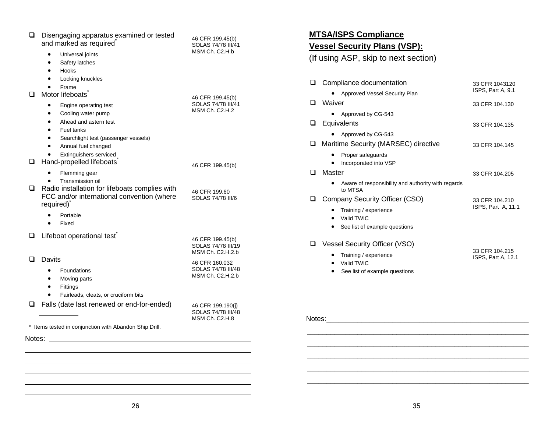| ◻ | Disengaging apparatus examined or tested<br>and marked as required <sup>®</sup>                                                                                               | 46 CFR 199.45(b)<br>SOLAS 74/78 III/41                     |
|---|-------------------------------------------------------------------------------------------------------------------------------------------------------------------------------|------------------------------------------------------------|
|   | Universal joints<br>$\bullet$<br>Safety latches<br>$\bullet$<br>Hooks<br>$\bullet$<br>Locking knuckles<br>$\bullet$                                                           | MSM Ch. C2.H.b                                             |
| ◻ | Frame<br>Motor lifeboats <sup>®</sup>                                                                                                                                         | 46 CFR 199.45(b)                                           |
|   | Engine operating test<br>$\bullet$<br>Cooling water pump<br>$\bullet$<br>Ahead and astern test<br>$\bullet$<br><b>Fuel tanks</b><br>$\bullet$                                 | SOLAS 74/78 III/41<br>MSM Ch. C2.H.2                       |
|   | Searchlight test (passenger vessels)<br>$\bullet$<br>Annual fuel changed<br>$\bullet$                                                                                         |                                                            |
| ⊔ | Extinguishers serviced<br>Hand-propelled lifeboats                                                                                                                            | 46 CFR 199.45(b)                                           |
| ◻ | Flemming gear<br>$\bullet$<br>Transmission oil<br>٠<br>Radio installation for lifeboats complies with<br>FCC and/or international convention (where<br>required) <sup>*</sup> | 46 CFR 199.60<br>SOLAS 74/78 III/6                         |
|   | $\bullet$<br>Portable<br>Fixed<br>$\bullet$                                                                                                                                   |                                                            |
| ⊔ | Lifeboat operational test                                                                                                                                                     | 46 CFR 199.45(b)<br>SOLAS 74/78 III/19<br>MSM Ch. C2.H.2.b |
| ◻ | <b>Davits</b><br>Foundations<br>$\bullet$<br>Moving parts<br>٠<br>Fittings<br>$\bullet$<br>Fairleads, cleats, or cruciform bits<br>$\bullet$                                  | 46 CFR 160.032<br>SOLAS 74/78 III/48<br>MSM Ch. C2.H.2.b   |
| ப | Falls (date last renewed or end-for-ended)                                                                                                                                    | 46 CFR 199.190(j)<br>SOLAS 74/78 III/48<br>MSM Ch. C2.H.8  |
|   | * Items tested in conjunction with Abandon Ship Drill.                                                                                                                        |                                                            |
|   |                                                                                                                                                                               |                                                            |

## **MTSA/ISPS Compliance**

## **Vessel Security Plans (VSP):**

(If using ASP, skip to next section)

| ப   | Compliance documentation                                      | 33 CFR 1043120                       |
|-----|---------------------------------------------------------------|--------------------------------------|
|     | Approved Vessel Security Plan                                 | ISPS, Part A, 9.1                    |
| - 1 | Waiver                                                        | 33 CFR 104.130                       |
|     | Approved by CG-543                                            |                                      |
| ⊔   | Equivalents                                                   | 33 CFR 104.135                       |
|     | Approved by CG-543                                            |                                      |
| ப   | Maritime Security (MARSEC) directive                          | 33 CFR 104.145                       |
|     | Proper safeguards<br>Incorporated into VSP                    |                                      |
| - 1 | Master                                                        | 33 CFR 104.205                       |
|     | Aware of responsibility and authority with regards<br>to MTSA |                                      |
|     | Company Security Officer (CSO)                                | 33 CFR 104.210                       |
|     | Training / experience<br>Valid TWIC                           | ISPS, Part A, 11.1                   |
|     | See list of example questions                                 |                                      |
|     | <b>Vessel Security Officer (VSO)</b>                          |                                      |
|     | Training / experience<br>Valid TWIC                           | 33 CFR 104.215<br>ISPS, Part A, 12.1 |
|     | See list of example questions                                 |                                      |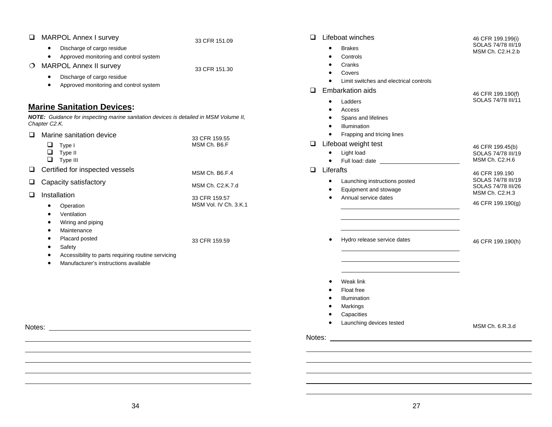| <b>MARPOL Annex I survey</b><br>□                                                                                                                                                                                                       | 33 CFR 151.09                                              | Lifeboat winches<br>$\Box$                                                                                                                                               | 46 CFR 199.199(i)                                                                                   |
|-----------------------------------------------------------------------------------------------------------------------------------------------------------------------------------------------------------------------------------------|------------------------------------------------------------|--------------------------------------------------------------------------------------------------------------------------------------------------------------------------|-----------------------------------------------------------------------------------------------------|
| Discharge of cargo residue<br>$\bullet$<br>Approved monitoring and control system<br>$\bullet$<br><b>MARPOL Annex II survey</b><br>$\circ$<br>Discharge of cargo residue<br>$\bullet$<br>Approved monitoring and control system         | 33 CFR 151.30                                              | <b>Brakes</b><br>Controls<br>Cranks<br>Covers<br>Limit switches and electrical controls<br>Embarkation aids<br>◻                                                         | SOLAS 74/78 III/19<br>MSM Ch. C2.H.2.b                                                              |
| <b>Marine Sanitation Devices:</b><br>NOTE: Guidance for inspecting marine sanitation devices is detailed in MSM Volume II,<br>Chapter C2.K.<br>Marine sanitation device<br>$\Box$<br>$\Box$ Type I<br>$\Box$ Type II<br>$\Box$ Type III | 33 CFR 159.55<br>MSM Ch. B6.F                              | Ladders<br>$\bullet$<br>Access<br>Spans and lifelines<br>Illumination<br>Frapping and tricing lines<br>Lifeboat weight test<br>□<br>Light load<br>$\bullet$<br>$\bullet$ | 46 CFR 199.190(f)<br>SOLAS 74/78 III/11<br>46 CFR 199.45(b)<br>SOLAS 74/78 III/19<br>MSM Ch. C2.H.6 |
| Certified for inspected vessels<br>⊔                                                                                                                                                                                                    | MSM Ch. B6.F.4                                             | Liferafts<br>□                                                                                                                                                           | 46 CFR 199.190                                                                                      |
| Capacity satisfactory<br>❏<br>Installation<br>❏<br>Operation<br>$\bullet$<br>Ventilation<br>Wiring and piping<br>Maintenance<br>٠                                                                                                       | MSM Ch. C2.K.7.d<br>33 CFR 159.57<br>MSM Vol. IV Ch. 3.K.1 | Launching instructions posted<br>$\bullet$<br>Equipment and stowage<br>Annual service dates                                                                              | SOLAS 74/78 III/19<br>SOLAS 74/78 III/26<br>MSM Ch. C2.H.3<br>46 CFR 199.190(g)                     |
| Placard posted<br>Safety<br>Accessibility to parts requiring routine servicing<br>Manufacturer's instructions available                                                                                                                 | 33 CFR 159.59                                              | Hydro release service dates<br>Weak link<br>Float free<br>Illumination<br>Markings<br>Capacities<br>Launching devices tested                                             | 46 CFR 199.190(h)                                                                                   |
| Notes: Notes: 2008 and 2008 and 2008 and 2008 and 2008 and 2008 and 2008 and 2008 and 2008 and 2008 and 2008 and 2008 and 2008 and 2008 and 2008 and 2008 and 2008 and 2008 and 2008 and 2008 and 2008 and 2008 and 2008 and 2          |                                                            |                                                                                                                                                                          | MSM Ch. 6.R.3.d                                                                                     |
|                                                                                                                                                                                                                                         |                                                            |                                                                                                                                                                          |                                                                                                     |
|                                                                                                                                                                                                                                         |                                                            |                                                                                                                                                                          |                                                                                                     |
|                                                                                                                                                                                                                                         |                                                            |                                                                                                                                                                          |                                                                                                     |
|                                                                                                                                                                                                                                         |                                                            |                                                                                                                                                                          |                                                                                                     |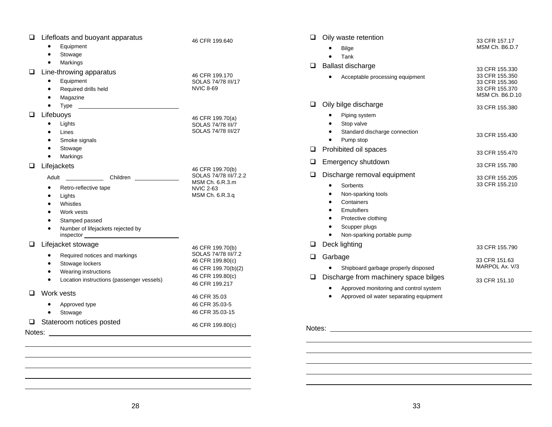| Lifefloats and buoyant apparatus<br>❏                                                                                          | 46 CFR 199.640                      | $\Box$<br>Oily waste retention                       | 33 CFR 157.17                    |
|--------------------------------------------------------------------------------------------------------------------------------|-------------------------------------|------------------------------------------------------|----------------------------------|
| Equipment<br>٠                                                                                                                 |                                     | Bilge                                                | MSM Ch. B6.D.7                   |
| Stowage                                                                                                                        |                                     | Tank<br>$\bullet$                                    |                                  |
| Markings<br>$\bullet$                                                                                                          |                                     | Ballast discharge<br>$\Box$                          |                                  |
| Line-throwing apparatus<br>□                                                                                                   | 46 CFR 199.170                      |                                                      | 33 CFR 155.330<br>33 CFR 155.350 |
| Equipment<br>$\bullet$                                                                                                         | SOLAS 74/78 III/17                  | Acceptable processing equipment                      | 33 CFR 155.360                   |
| Required drills held                                                                                                           | <b>NVIC 8-69</b>                    |                                                      | 33 CFR 155.370                   |
| Magazine<br>٠                                                                                                                  |                                     |                                                      | MSM Ch. B6.D.1                   |
| Type<br><u> La componenta de la componenta de la componenta de la componenta de la componenta de la componenta de la compo</u> |                                     | Oily bilge discharge<br>$\Box$                       | 33 CFR 155.380                   |
| Lifebuoys<br>⊔                                                                                                                 | 46 CFR 199.70(a)                    | Piping system                                        |                                  |
| Lights<br>$\bullet$                                                                                                            | SOLAS 74/78 III/7                   | Stop valve                                           |                                  |
| Lines<br>$\bullet$                                                                                                             | SOLAS 74/78 III/27                  | Standard discharge connection                        | 33 CFR 155.430                   |
| Smoke signals                                                                                                                  |                                     | Pump stop<br>$\bullet$                               |                                  |
| Stowage                                                                                                                        |                                     | Prohibited oil spaces<br>$\Box$                      | 33 CFR 155.470                   |
| Markings<br>$\bullet$                                                                                                          |                                     | Emergency shutdown<br>⊔                              |                                  |
| Lifejackets<br>❏                                                                                                               | 46 CFR 199.70(b)                    |                                                      | 33 CFR 155.780                   |
| Adult Children                                                                                                                 | SOLAS 74/78 III/7.2.2               | ❏<br>Discharge removal equipment                     | 33 CFR 155,205                   |
| Retro-reflective tape                                                                                                          | MSM Ch. 6.R.3.m                     | Sorbents<br>$\bullet$                                | 33 CFR 155.210                   |
| Lights                                                                                                                         | <b>NVIC 2-63</b><br>MSM Ch. 6.R.3.q | Non-sparking tools                                   |                                  |
| Whistles                                                                                                                       |                                     | Containers                                           |                                  |
| Work vests<br>$\bullet$                                                                                                        |                                     | Emulsifiers<br>$\bullet$                             |                                  |
| Stamped passed                                                                                                                 |                                     | Protective clothing                                  |                                  |
| Number of lifejackets rejected by                                                                                              |                                     | Scupper plugs<br>$\bullet$                           |                                  |
|                                                                                                                                |                                     | Non-sparking portable pump<br>$\bullet$              |                                  |
| ❏<br>Lifejacket stowage                                                                                                        | 46 CFR 199.70(b)                    | Deck lighting<br>⊔                                   | 33 CFR 155.790                   |
| Required notices and markings<br>$\bullet$                                                                                     | SOLAS 74/78 III/7.2                 | Garbage<br>❏.                                        |                                  |
| Stowage lockers<br>$\bullet$                                                                                                   | 46 CFR 199.80(c)                    |                                                      | 33 CFR 151.63                    |
| Wearing instructions<br>$\bullet$                                                                                              | 46 CFR 199.70(b)(2)                 | • Shipboard garbage properly disposed                | MARPOL Ax. V/3                   |
| Location instructions (passenger vessels)<br>$\bullet$                                                                         | 46 CFR 199.80(c)                    | Discharge from machinery space bilges<br>$\Box$      | 33 CFR 151.10                    |
|                                                                                                                                | 46 CFR 199.217                      | Approved monitoring and control system<br>$\bullet$  |                                  |
| Work vests<br>□                                                                                                                | 46 CFR 35.03                        | Approved oil water separating equipment<br>$\bullet$ |                                  |
| Approved type<br>$\bullet$                                                                                                     | 46 CFR 35.03-5                      |                                                      |                                  |
| Stowage<br>$\bullet$                                                                                                           | 46 CFR 35.03-15                     |                                                      |                                  |
| Stateroom notices posted<br>□                                                                                                  | 46 CFR 199.80(c)                    |                                                      |                                  |
|                                                                                                                                |                                     | Notes: Notes:                                        |                                  |
|                                                                                                                                |                                     |                                                      |                                  |
|                                                                                                                                |                                     |                                                      |                                  |
|                                                                                                                                |                                     |                                                      |                                  |
|                                                                                                                                |                                     |                                                      |                                  |

33 CFR 155.330 33 CFR 155.350 33 CFR 155.360 33 CFR 155.370 MSM Ch. B6.D.10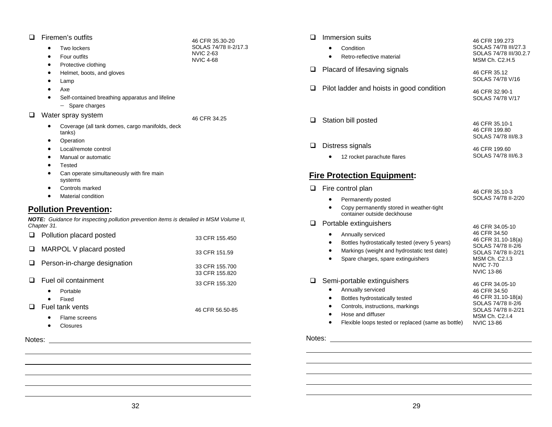#### **E** Firemen's outfits

| ப | <b>Firemen's outflits</b><br>Two lockers |                                                                                               | 46 CFR 35.30-20                           |
|---|------------------------------------------|-----------------------------------------------------------------------------------------------|-------------------------------------------|
|   |                                          |                                                                                               | SOLAS 74/78 II-2/17.3<br><b>NVIC 2-63</b> |
|   | Four outfits<br>$\bullet$                |                                                                                               | <b>NVIC 4-68</b>                          |
|   | Protective clothing<br>$\bullet$         |                                                                                               |                                           |
|   | ٠                                        | Helmet, boots, and gloves                                                                     |                                           |
|   | Lamp<br>٠                                |                                                                                               |                                           |
|   | Axe<br>$\bullet$                         |                                                                                               |                                           |
|   |                                          | Self-contained breathing apparatus and lifeline                                               |                                           |
|   | $-$ Spare charges                        |                                                                                               |                                           |
| □ | Water spray system                       |                                                                                               | 46 CFR 34.25                              |
|   | tanks)                                   | Coverage (all tank domes, cargo manifolds, deck                                               |                                           |
|   | Operation<br>٠                           |                                                                                               |                                           |
|   | Local/remote control                     |                                                                                               |                                           |
|   | Manual or automatic<br>$\bullet$         |                                                                                               |                                           |
|   | Tested<br>٠                              |                                                                                               |                                           |
|   | systems                                  | Can operate simultaneously with fire main                                                     |                                           |
|   | Controls marked<br>٠                     |                                                                                               |                                           |
|   | Material condition<br>$\bullet$          |                                                                                               |                                           |
|   | <b>Pollution Prevention:</b>             |                                                                                               |                                           |
|   | Chapter 31.                              | <b>NOTE:</b> Guidance for inspecting pollution prevention items is detailed in MSM Volume II, |                                           |
| ◻ | Pollution placard posted                 |                                                                                               | 33 CFR 155.450                            |
| ❏ | MARPOL V placard posted                  |                                                                                               | 33 CFR 151.59                             |
| □ |                                          | Person-in-charge designation                                                                  | 33 CFR 155,700<br>33 CFR 155.820          |

33 CFR 155.320

46 CFR 56.50-85

#### □ Fuel oil containment

- $\bullet$ Portable
- Fixed
- Fuel tank vents
	- Flame screens
	- Closures

Notes:

| □ | Immersion suits                                     | 46 CFR 199.273                                                                |
|---|-----------------------------------------------------|-------------------------------------------------------------------------------|
|   | Condition<br>$\bullet$<br>Retro-reflective material | SOLAS 74/78 III/27.3<br>SOLAS 74/78 III/30.2.7<br>MSM Ch. C <sub>2</sub> .H.5 |
| ❏ | Placard of lifesaving signals                       | 46 CFR 35.12<br>SOLAS 74/78 V/16                                              |
| Q | Pilot ladder and hoists in good condition           | 46 CFR 32.90-1<br>SOLAS 74/78 V/17                                            |
| Q | Station bill posted                                 | 46 CFR 35.10-1<br>46 CFR 199.80<br>SOLAS 74/78 III/8.3                        |
| ❏ | Distress signals                                    | 46 CFR 199.60                                                                 |

SOLAS 74/78 III/6.3

#### **Fire Protection Equipment:**

• 12 rocket parachute flares

| Fire control plan                                                                                                                                                                                 | 46 CFR 35.10-3                                                                                                                                                |  |
|---------------------------------------------------------------------------------------------------------------------------------------------------------------------------------------------------|---------------------------------------------------------------------------------------------------------------------------------------------------------------|--|
| Permanently posted<br>Copy permanently stored in weather-tight<br>container outside deckhouse                                                                                                     | SOLAS 74/78 II-2/20                                                                                                                                           |  |
| Portable extinguishers<br>Annually serviced<br>Bottles hydrostatically tested (every 5 years)<br>Markings (weight and hydrostatic test date)<br>Spare charges, spare extinguishers                | 46 CFR 34.05-10<br>46 CFR 34.50<br>46 CFR 31.10-18(a)<br>SOLAS 74/78 II-2/6<br>SOLAS 74/78 II-2/21<br>MSM Ch. C2.1.3<br><b>NVIC 7-70</b><br><b>NVIC 13-86</b> |  |
| Semi-portable extinguishers<br>Annually serviced<br>Bottles hydrostatically tested<br>Controls, instructions, markings<br>Hose and diffuser<br>Flexible loops tested or replaced (same as bottle) | 46 CFR 34.05-10<br>46 CFR 34.50<br>46 CFR 31.10-18(a)<br>SOLAS 74/78 II-2/6<br>SOLAS 74/78 II-2/21<br>MSM Ch. C2.1.4<br><b>NVIC 13-86</b>                     |  |